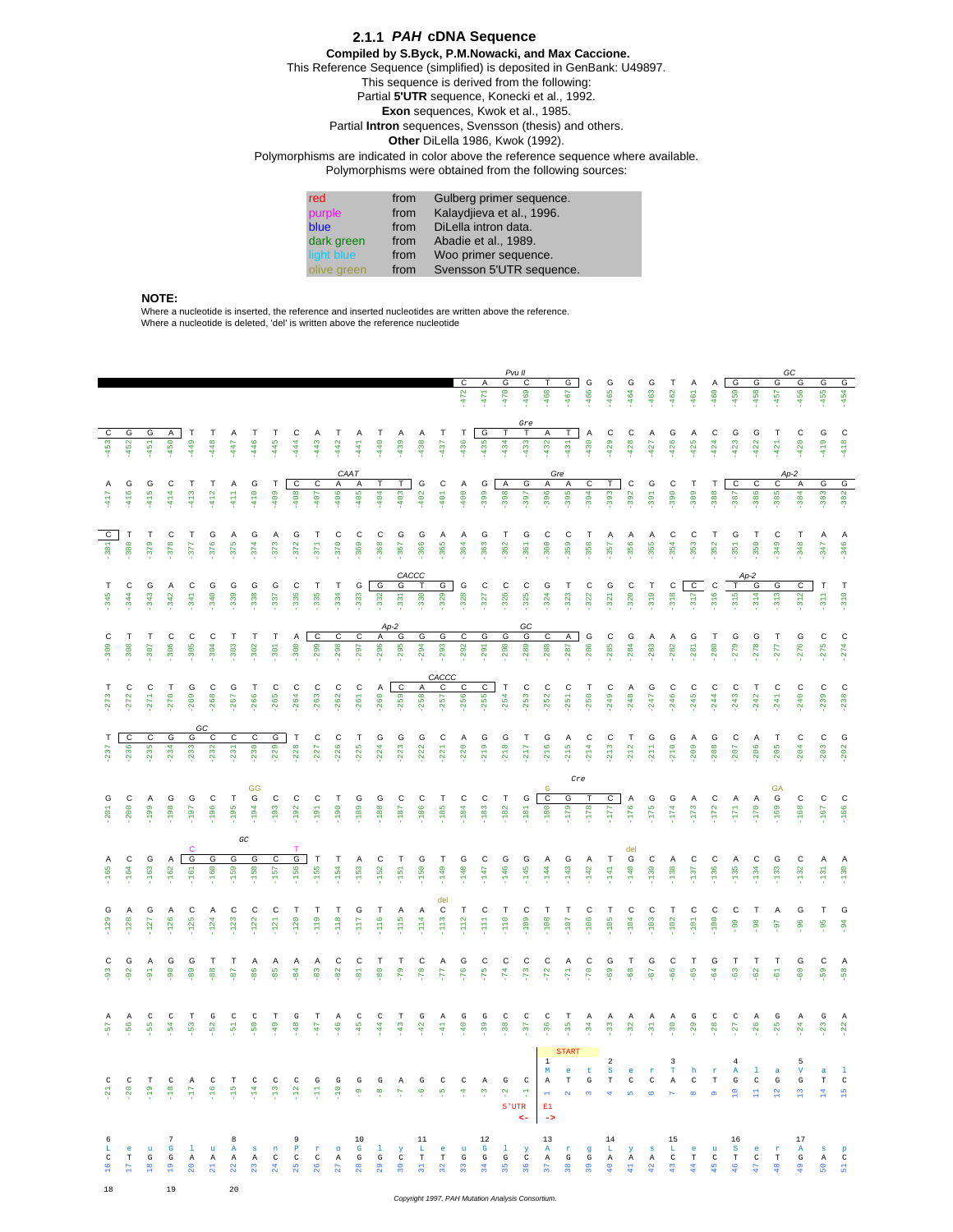## *PAH* **cDNA Sequence 2.1.1 Compiled by S.Byck, P.M.Nowacki, and Max Caccione.** This Reference Sequence (simplified) is deposited in GenBank: U49897. This sequence is derived from the following: Partial **5'UTR** sequence, Konecki et al., 1992. **Exon** sequences, Kwok et al., 1985. Partial **Intron** sequences, Svensson (thesis) and others. **Other** DiLella 1986, Kwok (1992). Polymorphisms are indicated in color above the reference sequence where available. Polymorphisms were obtained from the following sources:

| red         | from | Gulberg primer sequence.  |
|-------------|------|---------------------------|
| purple      | from | Kalaydijeva et al., 1996. |
| blue        | from | DiLella intron data.      |
| dark green  | from | Abadie et al., 1989.      |
| light blue  | from | Woo primer sequence.      |
| olive green | from | Svensson 5'UTR sequence.  |

## **NOTE:**

18 19 20

Where a nucleotide is inserted, the reference and inserted nucleotides are written above the reference. Where a nucleotide is deleted, 'del' is written above the reference nucleotide

|                            |                                |                     |                                                       |                              |                       |                            |                   |                          |                        |                       |                               |                     |                   |                         |                   |                      |                                |                        | G           | Pvu II<br>С                                               |                               | G                                                                                                                                                             |                         | G                                               | G                                                | G                                            | Т                                                |                               | Α                                        | G                                                                | G                                   | G                                        | GC<br>G                                    | G                                                   | G                                             |
|----------------------------|--------------------------------|---------------------|-------------------------------------------------------|------------------------------|-----------------------|----------------------------|-------------------|--------------------------|------------------------|-----------------------|-------------------------------|---------------------|-------------------|-------------------------|-------------------|----------------------|--------------------------------|------------------------|-------------|-----------------------------------------------------------|-------------------------------|---------------------------------------------------------------------------------------------------------------------------------------------------------------|-------------------------|-------------------------------------------------|--------------------------------------------------|----------------------------------------------|--------------------------------------------------|-------------------------------|------------------------------------------|------------------------------------------------------------------|-------------------------------------|------------------------------------------|--------------------------------------------|-----------------------------------------------------|-----------------------------------------------|
|                            |                                |                     |                                                       |                              |                       |                            |                   |                          |                        |                       |                               |                     |                   |                         |                   |                      | $-472$                         | $-471$                 | $-470$      | $-469$                                                    | -468                          | $-467$                                                                                                                                                        | G<br>-466               | $-465$                                          | -464                                             | $-463$                                       | $-462$                                           | A<br>$-461$                   | $-460$                                   | $-459$                                                           | $-458$                              | $-457$                                   | $-456$                                     | $-455$                                              | $-454$                                        |
| $\mathsf c$<br>$-453$      | G<br>$-452$                    | G<br>$-451$         | $\begin{array}{c}\n\overline{A} \\ -450\n\end{array}$ | T<br>$-449$                  | Т<br>$-448$           | $A_{47}$                   | Τ<br>$-446$       | Т<br>445                 | $-444$ O               | $-443$                | $-442$                        | $-441$              | Т<br>$-440$       | $-439$ $\triangleright$ | $-438$            | Τ<br>$-437$          | т<br>$-436$                    | G<br>$-435$            | т<br>$-434$ | Gre<br>т<br>$-433$                                        | A<br>$-432$                   | T.<br>$-431$                                                                                                                                                  | $-430$ $\triangleright$ | C<br>$-429$                                     | C<br>$-428$                                      | Α<br>$-427$                                  | G<br>$-426$                                      | Α<br>$-425$                   | С<br>$-424$                              | G<br>$-423$                                                      | G<br>$-422$                         | Т<br>$-421$                              | С<br>$-420$                                | G<br>$-419$                                         | $-418$ O                                      |
| Α<br>$-417$                | G<br>$-416$                    | G<br>$-415$         | С<br>$-414$                                           | Τ<br>$-413$                  | Т<br>$-412$           | Α<br>$-411$                | G<br>$-410$       | Т<br>$-409$              | $\mathsf{C}$<br>$-408$ | $\mathsf c$<br>$-407$ | Α<br>$-406$                   | CAAT<br>Α<br>$-405$ | т<br>$-404$       | Τ<br>$-403$             | $-402$ $\Omega$   | $-401$ C             | A<br>$-400$                    | G<br>$-399$            | Α<br>$-398$ | G<br>$-397$                                               | A<br>$-396$                   | Gre<br>$\overline{\mathsf{A}}$<br>$-395$                                                                                                                      | $\mathsf{C}$<br>$-394$  | T.<br>$-393$                                    | $-392$ O                                         | G<br>$-391$                                  | $-390$ $C$                                       | Т<br>$-389$                   | Т<br>$-388$                              | С<br>$-387$                                                      | с<br>$-386$                         | С<br>$-385$                              | Ap-2<br>$\overline{A}$<br>$-384$           | G<br>$-383$                                         | G<br>$-382$                                   |
| $\mathsf{C}$<br>$-381$     | Т<br>$-380$                    | Т<br>$-379$         | С<br>$-378$                                           | т<br>$-377$                  | G<br>$-376$           | Α<br>$-375$                | G<br>$-374$       | Α<br>$-373$              | G<br>$-372$            | Т<br>$-371$           | С<br>-370                     | C<br>-369           | С<br>-368         | G<br>-367               | G<br>$-366$       | Α<br>$-365$          | Α<br>$-364$                    | G<br>$-363$            | т<br>$-362$ | G<br>$-361$                                               | С<br>$-360$                   | С<br>$-359$                                                                                                                                                   | Т<br>$-358$             | Α<br>$-357$                                     | Α<br>$-356$                                      | Α<br>$-355$                                  | С<br>$-354$                                      | C<br>$-353$                   | Т<br>$-352$                              | G<br>$-351$                                                      | Т<br>$-350$                         | С<br>$-349$                              | Т<br>$-348$                                | A<br>$-347$                                         | $-346$ $-$                                    |
| т<br>$-345$                | С<br>$-344$                    | G<br>$-343$         | Α<br>$-342$                                           | С<br>$-341$                  | G<br>$-340$           | G<br>$-339$                | G<br>$-338$       | G<br>$-337$              | C<br>$-336$            | Т<br>$-335$           | Т<br>$-334$                   | G<br>$-333$         | G<br>$-332$       | CACCC<br>G<br>$-331$    | т<br>$-330$       | G<br>$-329$          | G<br>$-328$                    | C<br>$-327$            | C<br>$-326$ | С<br>$-325$                                               | G<br>$-324$                   | Т<br>$-323$                                                                                                                                                   | C<br>$-322$             | G<br>$-321$                                     | $\mathsf{C}$<br>$-320$                           | T<br>$-319$                                  | $-318$ O                                         | $-317$ O                      | $\mathsf c$<br>$-316$                    | Τ<br>$-315$                                                      | Ap-2<br>G<br>$-314$                 | G<br>$-313$                              | $\mathsf{C}$<br>$-312$                     | T<br>$-311$                                         | T<br>$-310$                                   |
| С<br>$-309$                | т<br>$-308$                    | т<br>-307           | С<br>$-306$                                           | C<br>$-305$                  | C<br>$-304$           | $-303$ $-$                 | $-302 -$          | Τ<br>$-301$              | $A$ $000$              | c<br>$-299$           | $\mathsf{C}$<br>$-298$        | С<br>$-297$         | A<br>$-296$       | Ap-2<br>G<br>$-295$     | G<br>$-294$       | G<br>293             | С<br>$-292$                    | G<br>$-291$            | G<br>$-290$ | GC<br>G<br>$-289$                                         | $\mathsf c$<br>$-288$         | $-287$                                                                                                                                                        | $-286$ $\Omega$         | $-285$ O                                        | $-284$ $\Omega$                                  | A<br>$-283$                                  | $-282$                                           | G<br>$-281$                   | Т<br>$-280$                              | G<br>$-279$                                                      | G<br>$-278$                         | т<br>$-277$                              | G<br>$-276$                                | $-275$ O                                            | $-274$ O                                      |
| т<br>$-273$                | С<br>$-272$                    | C<br>$-271$         | Т<br>$-270$                                           | G<br>$-269$                  | С<br>$-268$           | G<br>$-267$                | Т<br>$-266$       | C<br>$-265$              | $-264$ C               | $-263$ O              | C<br>$-262$                   | C<br>$-261$         | Α<br>$-260$       | c<br>$-259$             | Α<br>$-258$       | CACCC<br>C<br>$-257$ | C<br>$-256$                    | $\mathbf{C}$<br>$-255$ | Τ<br>$-254$ | С<br>$-253$                                               | С<br>$-252$                   | С<br>$-251$                                                                                                                                                   | Т<br>$-250$             | C<br>$-249$                                     | Α<br>$-248$                                      | G<br>$-247$                                  | $-246$ O                                         | C<br>$-245$                   | $-244$ O                                 | С<br>$-243$                                                      | Т<br>$-242$                         | C<br>$-241$                              | C<br>$-240$                                | C<br>$-239$                                         | C<br>$-238$                                   |
| т<br>$-237$                | $\mathsf{C}$<br>$-236$         | С<br>$-235$         | G<br>$-234$                                           | G<br>233                     | GC<br>С<br>$-232$     | С<br>$-231$                | С<br>$-230$       | G<br>$-229$              | T<br>$-228$            | C<br>$-227$           | C<br>$-226$                   | Т<br>$-225$         | G<br>$-224$       | G<br>$-223$             | G<br>$-222$       | С<br>$-221$          | A<br>$-220$                    | G<br>$-219$            | G<br>$-218$ | Т<br>217                                                  | G<br>.216                     | Α<br>$-215$                                                                                                                                                   | С<br>$-214$             | С<br>$-213$                                     | Т<br>$\frac{212}{2}$                             | G<br>$-211$                                  | G<br>$-210$                                      | Α<br>$-209$                   | G<br>$-208$                              | С<br>$-207$                                                      | Α<br>$-206$                         | Τ<br>$-205$                              | C<br>$-204$                                | C<br>$-203$                                         | G<br>$-202$                                   |
| G<br>$-201$                | С<br>$-200$                    | Α<br>$-199$         | G<br>$-198$                                           | G<br>$-197$                  | С<br>$-196$           | Т<br>$-195$                | GG<br>G<br>$-194$ | C<br>$-193$              | C<br>$-192$            | C<br>$-191$           | Т<br>$-190$                   | G<br>$-189$         | G<br>$-188$       | с<br>$-187$             | С<br>$-186$       | Т<br>$-185$          | C<br>$-184$                    | C<br>$-183$            | Т<br>$-182$ | G<br>$-181$                                               | C<br>$-180$                   | Cre<br>G<br>$-179$                                                                                                                                            | I<br>$-178$             | C<br>$-177$                                     | $\overline{A}$<br>$-176$                         | G<br>$-175$                                  | G<br>$-174$                                      | A<br>$-173$                   | C<br>$-172$                              | Α<br>$-171$                                                      | Α<br>$-170$                         | GA<br>$\mathsf G$<br>$-169$              | C<br>$-168$                                | C<br>$-167$                                         | C<br>$-166$                                   |
| A<br>$-165$                | C<br>$-164$                    | G<br>$-163$         | Α<br>$-162$                                           | G<br>$-161$                  | G<br>$-160$           | G<br>$-159$                | GC<br>G<br>$-158$ | С<br>$-157$              | G<br>$-156$            | T<br>$-155$           | $-154$ –                      | A<br>$-153$         | С<br>$-152$       | Т<br>$-151$             | G<br>$-150$       | Т<br>$-149$          | G<br>$-148$                    | C<br>$-147$            | G<br>$-146$ | G<br>$-145$                                               | Α<br>$-144$                   | G<br>$-143$                                                                                                                                                   | Α<br>$-142$             | $\sf T$<br>$-141$                               | del<br>$-140$ G                                  | C<br>$-139$                                  | Α<br>$-138$                                      | C<br>$-137$                   | C<br>$-136$                              | Α<br>$-135$                                                      | C<br>$-134$                         | G<br>$-133$                              | C<br>$-132$                                | Α<br>$-131$                                         | A<br>$-130$                                   |
| G<br>$-129$                | Α<br>$-128$                    | G<br>$-127$         | Α<br>$-126$                                           | С<br>$-125$                  | Α<br>$-124$           | C<br>$-123$                | C<br>$-122$       | C<br>$-121$              | Τ<br>$-120$            | Τ<br>$-119$           | Т<br>$-118$                   | G<br>117            | Τ<br>$-116$       | A<br>$-115$             | Α<br>$-114$       | del<br>C<br>$-113$   | Т<br>$-112$                    | С<br>$\frac{1}{2}$     | Т<br>$-110$ | C<br>$-109$                                               | Т<br>$-108$                   | т<br>$-107$                                                                                                                                                   | C<br>$-106$             | Т<br>$-105$                                     | C<br>$-104$                                      | C<br>$-103$                                  | Т<br>$-102$                                      | C<br>$-101$                   | C<br>$-100$                              | С<br>$-99$                                                       | Т<br>$-98$                          | Α<br>$-97$                               | G<br>$-96$                                 | T<br>$-95$                                          | G<br>$-94$                                    |
| C<br>$-93$                 | G<br>$-92$                     | Α<br>$-91$          | G<br>$-90$                                            | G<br>$-89$                   | т<br>$-88$            | т<br>$-87$                 | A<br>$-86$        | A<br>$-85$               | A<br>$-84$             | A<br>$-83$            | C<br>$-82$                    | С<br>$\frac{1}{3}$  | Т<br>$-80$        | Т<br>$-79$              | C<br>$-78$        | A<br>-77             | G<br>$-76$                     | C<br>$-75$             | C<br>$-74$  | С<br>$-73$                                                | С<br>$-72$                    | Α<br>$\overline{7}$                                                                                                                                           | С<br>$-70$              | G<br>$-69$                                      | Т<br>$-68$                                       | G<br>59-                                     | C<br>$-66$                                       | Τ<br>$-65$                    | G<br>$-64$                               | Т<br>$\frac{63}{2}$                                              | Т<br>$-62$                          | т<br>$\frac{61}{7}$                      | G<br>$-60$                                 | С<br>$-59$                                          | A<br>$-58$                                    |
| 57                         | Α<br>56                        | C<br>55             | C<br>54                                               | T<br>$\mathbb{S}^2$          | G<br>$\overline{52}$  | $\mathtt{C}$<br>$\ddot{5}$ | C<br>50           | T<br>$-49$               | G<br>$-48$             | T<br>-47              | $A$<br>$6$<br>$A$             | $-45$ $\Omega$      | $-44$ $\circ$     | T<br>$-43$              | G<br>$-42$        | Α<br>$-41$           | G<br>$-40$                     | G<br>$-39$             | C<br>$-38$  | C<br>57                                                   | C<br>36                       | T<br>55                                                                                                                                                       | Α<br>$-34$              | Α<br>$-33$                                      | Α<br>$-32$                                       | A<br>$\frac{4}{3}$                           | Α<br>$-30$                                       | G<br>$-29$                    | C<br>$-28$                               | C<br>$-27$                                                       | Α<br>$-26$                          | G<br>$-25$                               | Α<br>$-24$                                 | G<br>$-23$                                          | Α<br>$-22$                                    |
| C<br>$-21$                 | $\mathbb{C}$<br>$\overline{5}$ | $_{\rm T}$<br>$-19$ | $\mathbb{C}$<br>$\frac{8}{1}$                         | A<br>$\overline{\mathbb{H}}$ | $\mathbb{C}$<br>$-16$ | $-15$                      | $-14$ $\alpha$    | $\frac{13}{13}$ $\alpha$ | $-12$ $\alpha$         | $\mathbf{G}$<br>류     | $\mathbf{G}$<br>$\frac{8}{1}$ | $\mathbf{G}$<br>ግ   | $\mathbf{G}$<br>٣ | A                       | $\mathbf{G}$<br>۴ | $\mathbb{C}$<br>က္   | $\mathbb{C}$<br>$\overline{4}$ | A<br>$\gamma$          |             | $5'$ UTR<br>$\leftarrow$                                  | 1<br>M<br>E1<br>$\rightarrow$ | <b>START</b><br>e.<br>G C A T G T C<br>$\begin{array}{ccccc} \mathsf{Q} & & \mathsf{H} & & \mathsf{H} & & \mathsf{H} & & \mathsf{M} & \mathsf{M} \end{array}$ | $^{\circ}$ t            | $\mathbf 2$<br>$\mathbf S$<br>$\langle \rangle$ | $\,$ e $\,$<br>$\omega$                          | $\mathbb{E}[\mathbf{r}]$<br>$C$ A<br>$\circ$ | $\mathbf 3$<br>$\mathbf T$<br>$\sim$ 18 $^\circ$ | h<br>$\mathbb{C}$<br>$\infty$ | $\mathbf{r}$ .<br>$_{\rm T}$<br>$\sigma$ | $\overline{4}$<br>$\mathbf{A}$<br>$\mathbf{G}$<br>$\frac{9}{10}$ | $\mathbf{1}$<br>$\mathbb{C}$<br>id. | $\alpha$<br>$\mathbb{G}$<br>$\mathbb{S}$ | $\,$ 5<br>$\mathbf v$<br>$\mathbb{G}$<br>n | $\mathbf{a}$<br>$_{\rm T}$<br>$\mathbb{Z}$          | $\mathbf{1}$<br>$\mathbb{C}$<br>$\frac{1}{2}$ |
| 6<br>L<br>$_{\rm C}$<br>51 | e -<br>$_{\rm T}$<br>£,        | $\mathbf{a}$        | $7\phantom{.0}$                                       | $\frac{8}{2}$                | $\overline{a}$        | 8<br>$\overline{2}$        | 23                | $^{24}$                  | $\overline{9}$<br>25   | 26                    |                               | 10                  | 2720              | $\frac{8}{20}$          | 11<br>$\Xi$       | $\mathbb{R}^2$       | $\mathfrak{D}$                 | 12<br>34               | 35          | G G A A A A C C C A G G C T T G G G C A<br>$\frac{6}{25}$ | 13<br>57                      | u Glu Asn Pro Gly Leu Gly Arg Lys Leu<br>$\frac{8}{2}$                                                                                                        | $\frac{9}{20}$          | 14<br>e.                                        | $G\qquad G\qquad A\qquad A\qquad A\qquad C$<br>đ | ă,                                           | $15$<br>e.                                       | $_{\rm T}$<br>Ā,              | $\mathbb{C}$<br>ற                        | $16\,$<br>$\mathbf T$<br>ڇ                                       | Se r<br>C.                          | $\mathbbm{C}$ — T<br>$\frac{9}{48}$      | 17<br>$\mathbf{A}$<br>G<br>$\mathfrak{D}$  | $\mathbf{s}$<br>$\,$ A $\,$ C $\,$<br>$\frac{1}{2}$ | $\mathbf{p}$<br>$\overline{5}$                |

*Copyright 1997, PAH Mutation Analysis Consortium.*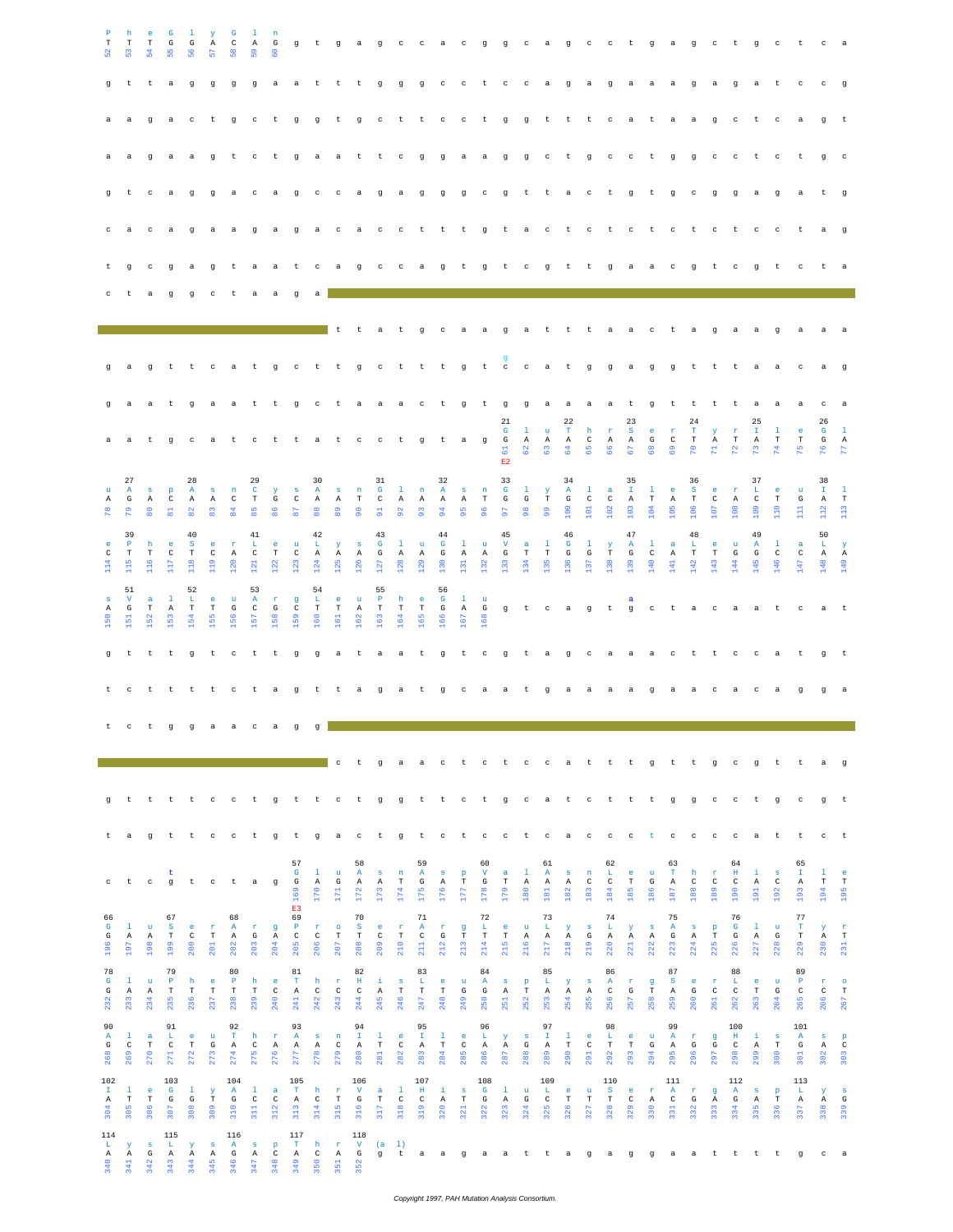| $_{\rm T}$<br>ន<br>q                                            | h<br>$\mathbf T$<br>္မ<br>t                                 | e<br>$_{\rm T}$<br>$\frac{4}{5}$<br>t<br>$\mathbf{q}$ | G<br>G<br>55<br>a                                    | 1<br>G<br>56<br>$\mathbf{C}$                           | У<br>$\mathbb{A}$<br>둢<br>t.         | G<br>$\rm _C$<br>38<br>a ggggga<br>$\mathbf g$          | 1<br>$\mathbf{A}$<br>S <sub>9</sub><br>$c$ t | $\mathbf n$<br>G<br><u>င္</u>                        | $\rm{a}$<br>g                                          | $\mathbf{t}$                               | t<br>g t g                              | g t gagc cacgg cagc ctgagc<br>t                  | g<br>$\mathbb C$                                          | g<br>$-t$                                              | $g$ c<br>t c c t g g                             |                                            | $\mathbf{C}$                                             | $-t$                                           | $C$ $C$                                 |                                           | $-t$                                               | a g<br>$-t$                             | a g<br>t                                                 | $_{\rm c}$                                                  | a<br>a                                                 | $\mathbf{a}$<br>t                          | a.<br>a                                             | $\mathfrak g$<br>$\rm{a}$                          | a<br>$\mathbf{g}$                             | $-t$<br>$\mathbf{g}$<br>$_{\rm c}$                  | $g$ c<br>a<br>$-t$                                          | $-t$<br>$\mathbb{C}$                          | t<br>$_{\rm c}$<br>a                             | $_{\rm c}$<br>$\mathbf{C}$<br>g                          | a a<br>$\overline{g}$<br>t t                |
|-----------------------------------------------------------------|-------------------------------------------------------------|-------------------------------------------------------|------------------------------------------------------|--------------------------------------------------------|--------------------------------------|---------------------------------------------------------|----------------------------------------------|------------------------------------------------------|--------------------------------------------------------|--------------------------------------------|-----------------------------------------|--------------------------------------------------|-----------------------------------------------------------|--------------------------------------------------------|--------------------------------------------------|--------------------------------------------|----------------------------------------------------------|------------------------------------------------|-----------------------------------------|-------------------------------------------|----------------------------------------------------|-----------------------------------------|----------------------------------------------------------|-------------------------------------------------------------|--------------------------------------------------------|--------------------------------------------|-----------------------------------------------------|----------------------------------------------------|-----------------------------------------------|-----------------------------------------------------|-------------------------------------------------------------|-----------------------------------------------|--------------------------------------------------|----------------------------------------------------------|---------------------------------------------|
| q                                                               | a<br>t                                                      | $\sigma$<br>$_{\rm c}$<br>$\mathbf{C}$                | a                                                    |                                                        |                                      | agt ctgaa<br>a gga ca g<br>a ga a ga ga ca              |                                              |                                                      |                                                        | $\mathbb{C}$                               | $\mathbf{C}$                            | t<br>a                                           | t<br>g<br>$\qquad \qquad \mathbb{C}$                      | $\mathbf{C}$<br>a g<br>$\mathbb{C}$                    | $\mathbf{g}$<br>t t t g t a c                    | $\alpha$<br>- 9                            |                                                          | a a<br>g c g t                                 | $\sigma$                                | $\sigma$                                  | $\mathbf{C}$<br>t.                                 | t<br>a<br>$-t$                          | $\sigma$<br>$\mathbf{C}$<br>$\mathbb{C}$                 | $\mathbf{C}$<br>t.<br>t                                     | $\mathbf{C}$<br>$\sigma$<br>$_{\rm c}$                 | t<br>t<br>t.                               | $\sigma$<br>$\sigma$<br>$c$ t                       | $\sigma$<br>$\mathbf{C}$                           | $\mathbf{C}$<br>$\mathfrak g$<br>$\mathbb{C}$ | $\mathbf{C}$<br>$\alpha$<br>$-t$                    | $-t$<br>a<br>$\mathbb{C}$                                   | $\mathbf{c}$<br>$\mathbf{q}$<br>$\mathbf{C}$  | t<br>a<br>t                                      | $\sigma$<br>$\mathbf{t}$<br>a                            | $\mathbf{C}$<br>$\mathbf{q}$<br>$\alpha$    |
| t.                                                              | $\sigma$                                                    | $\mathbf{C}$<br>a                                     | ga gt<br>q                                           | q                                                      | c                                    | τ                                                       | a                                            | a a t<br>a                                           | $\alpha$                                               | $_{\rm c}$<br>a                            | a                                       | $q$ c                                            |                                                           | $\mathbf{C}$                                           | a q                                              |                                            |                                                          | t g t c                                        |                                         |                                           | g                                                  | $\,$ t                                  | t                                                        | $\mathbf{q}$                                                | a                                                      | a                                          | $\mathbf{C}$                                        | $\sigma$                                           | t                                             | $\mathbf{C}$                                        | $\alpha$                                                    | $\mathbf{t}$                                  | C                                                |                                                          | a                                           |
|                                                                 | a                                                           | $\mathbf g$                                           |                                                      | t t                                                    | $\rm ^c$                             | a                                                       | t                                            | g                                                    | $\mathbf{C}$                                           | t                                          | $-1$<br>t                               | t<br>$\mathbf{g}$                                | a<br>$c$ t                                                | $-t$                                                   | $\mathbf{g}$<br>t t                              | $\mathbf{C}$                               | a<br>g                                                   | a<br>$t$ $c$ $c$                               | g                                       | a                                         | t<br>a t                                           | t                                       | t<br>g                                                   | $\mathbf{a}$<br>g                                           | a<br>a                                                 | $\mathbf{C}$<br>ਾਤ                         | t<br>g                                              | $\mathbf a$<br>t                                   | g<br>t                                        | a<br>$-t$                                           | a<br>a a                                                    | $\mathbf{q}$                                  | $\mathbf a$<br>$\mathbf{C}$                      | a<br>a                                                   | g                                           |
| g                                                               | a<br>a                                                      | a                                                     | t.                                                   |                                                        | q a                                  | a<br>t gcatctta                                         | t                                            | t.                                                   | $\sigma$                                               |                                            | t c                                     | ctaaactgtg                                       | $\qquad \qquad \mathbb{C}$                                | $-t$                                                   | $\mathbf{g}$                                     | t a g                                      |                                                          |                                                | 21<br>$\mathbf{G}$<br>$\mathbf{G}$<br>ರ | $\mathbf{1}$<br>A<br>$\frac{2}{6}$        | $\mathbf{u}$<br>$\mathbf{A}$<br>G.                 | 22<br>$\mathbf T$<br>$\mathbb{A}$<br>64 | h<br>$\mathbb{C}$<br>65                                  | ga a a a t<br>$\mathbf{r}$<br>$\mathbf{A}$<br>$\frac{6}{6}$ | 23<br>S.<br>$\mathbf{A}$<br>$\overline{6}$             | 9<br>e.<br>$\mathbf G$<br>$\frac{8}{6}$    | t t<br>$\mathbf r$<br>$\mathbb{C}$<br>$\frac{9}{6}$ | 24<br>$\mathbf T$<br>$\mathbf T$<br>$\mathbb{R}^2$ | t<br>Y<br>Α<br>π.                             | $-t$<br>$\mathbf r$<br>$_{\rm T}$<br>$\mathbb{R}^2$ | a a<br>25<br>$\mathbf{T}$<br>$\mathbb{A}$<br>$\mathbb{R}^2$ | $\mathbf{1}$<br>$\mathbf T$<br>$\mathbb{R}^n$ | a<br>$\mathbf{e}$<br>$_{\rm T}$<br>$\frac{5}{2}$ | $\mathbf{C}$<br>26<br>$\mathbf{G}$<br>G<br>$\frac{8}{2}$ | a<br>$\mathbf{1}$<br>$\;$ A<br>$\mathbb{R}$ |
| $\mathbf{u}$<br>Α<br>$\mathbb{R}^n$                             | 27<br>$\mathbf{A}$<br>G<br>$\mathbb{R}^n$                   | s.<br>$\mathbb{A}$                                    | $\mathbf{p}$<br>$\mathbf{C}$<br>$\Xi$                | 28<br>A<br>A<br>$\frac{2}{8}$                          | s<br>$\mathbb{A}$<br>3               | n<br>$\mathbf{C}$<br>$\overline{84}$                    | 29<br>$\mathbf{C}$<br>$_{\rm T}$<br>85       | $\mathbf{Y}$<br>$\mathbf{G}$<br>86                   | $\mathbf{s}$<br>$\,$ C<br>87                           | 30<br>A<br>A<br>$\frac{8}{6}$              | $\mathbf{s}$<br>$\,$ A<br>$\frac{9}{8}$ | n<br>$\mathbf T$<br>S.                           | 31<br>$\mathbf{G}$<br>$\mathbf C$<br>$5^{\circ}$          | $\mathbf{1}$<br>$\,$ A<br>$\mathfrak{a}$               | $\,$ n<br>A<br>$\mathfrak{S}$                    | 32<br>A<br>A<br>$\overline{94}$            | $\mathbf{s}$<br>$\,$ A $\,$<br>95                        | n<br>$_{\rm T}$<br>96                          | E2<br>33<br>$\mathbf{G}$<br>G<br>5      | $\mathbf{1}$<br>G<br>$\frac{8}{2}$        | $\mathbf{y}$<br>$\mathbf T$<br>$\frac{9}{2}$       | 34<br>A<br>$\mathbf G$<br>8             | $\mathbf{1}$<br>$\mathbb{C}$<br>ą                        | $\alpha$<br>$\,$ C<br>102                                   | 35<br>$\mathbf{I}$<br>A<br>103                         | $\mathbf{1}$<br>$\mathbf T$<br>50          | e.<br>$\mathbb{A}$<br>105                           | 36<br>$\mathbf{s}$<br>$\mathbf T$<br>$106$         | e.<br>$\mathsf{C}$<br>S.                      | <b>r</b><br>$\mathbb{A}$<br>$\frac{80}{2}$          | 37<br>L<br>$\mathbb{C}$<br>109                              | $^{\circ}$<br>T<br>$\frac{8}{11}$             | $\mathbf{u}$<br>G                                | 38<br>$\mathbb{T}$<br>$\quad$ A $\quad$ T<br>112         | $\mathbf{1}$<br>$\frac{3}{11}$              |
| C<br>114                                                        | 39<br>$\mathbf{P}$<br>$\mathbf T$<br>$\frac{15}{115}$<br>51 | h<br>$\mathbf T$                                      | e.<br>$\mathbb{C}$<br>117                            | 40<br>$^{\circ}$ S<br>T<br>$\frac{8}{11}$<br>52        | e.<br>$\mathbf{C}$<br>$\frac{9}{11}$ | $\mathbf{r}$<br>$\mathbb{A}$<br>20                      | 41<br>L.<br>$\,$ C<br>$\overline{21}$<br>53  | $^{\circ}$ e<br>$\mathbf T$<br>122                   | $\mathbf{u}$<br>$\mathbb{C}$<br>$\frac{23}{2}$         | 42<br>L<br>A<br>124<br>54                  | Y<br>A<br>125                           | $\mathbf{s}$<br>A<br>126                         | 43<br>$\mathbf{G}$<br>$\mathbf G$<br>$\frac{27}{2}$<br>55 | $\mathbf{1}$<br>A<br>128                               | $\mathbf{u}$<br>$\mathbf{A}$<br>129              | 44<br>$\mathbf{G}$<br>G<br>130<br>56       | $\mathbf{1}$<br>A<br>$\frac{51}{2}$                      | $\mathbf{u}$<br>A<br>132                       | 45<br>$\mathbf v$<br>G<br>$\frac{3}{2}$ | a<br>$\mathbf T$                          | $\mathbf{1}$<br>$\mathbf T$<br>135                 | 46<br>$\mathbf{G}$<br>$_{\rm G}$<br>136 | -1<br>${\rm G}$<br>137                                   | $\mathbf{Y}$<br>$\mathbf T$<br>138                          | 47<br>$\mathbf{A}$<br>G<br>139                         | -1<br>$\mathbf{C}$<br>140                  | a<br>A<br>141                                       | 48<br>L<br>$\mathbf T$<br>142                      | e.<br>T<br>143                                | u<br>G<br>144                                       | 49<br>$\mathbf{A}$<br>G<br>145                              | $\mathbf{1}$<br>$\,$ C<br>146                 | $\mathbf{a}$<br>$\mathtt{C}$<br>147              | 50<br>L.<br>A<br>148                                     | $\mathbf{y}$<br>A<br>149                    |
| s<br>Α<br>150                                                   | $\mathbf v$<br>$\mathbb G$<br>$\frac{51}{2}$                | $\mathbf{a}$<br>$_{\rm T}$<br>$\frac{52}{2}$          | $\mathbf{1}$<br>A<br>153                             | L.<br>$_{\rm T}$<br>154                                | $\epsilon$<br>$_{\rm T}$<br>155      | $\mathbf{u}$<br>G<br>156                                | $\mathbf{A}$<br>$\mathbf{C}$<br>157          | $\mathbf{r}$<br>$\mathbf G$<br>158                   | g<br>$\mathbb{C}$<br>159                               | $\mathbf{L}$<br>$_{\rm T}$<br>160          | $-e$<br>$\mathbf T$<br>161              | $\mathbf{u}$<br>A<br>162                         | $\mathbb P$<br>$\mathbf T$<br>163                         | h<br>$_{\rm T}$<br>164                                 | e.<br>$_{\rm T}$<br>165                          | $\mathbf{G}$<br>G<br>166                   | $\mathbf{1}$<br>A<br>167                                 | $\mathbf{u}$<br>$\mathbf{G}$<br>168            |                                         |                                           |                                                    |                                         |                                                          |                                                             | a                                                      |                                            |                                                     |                                                    |                                               |                                                     |                                                             | gt cagt gctacaat c                            | gttt gt cttggataat gt cgtagcaaact t ccat         | a t<br>g t                                               |                                             |
|                                                                 | t c                                                         |                                                       |                                                      |                                                        |                                      | t t t t c t a g t t a g a t g c a a t                   |                                              |                                                      |                                                        |                                            |                                         |                                                  |                                                           |                                                        |                                                  |                                            |                                                          |                                                |                                         |                                           |                                                    | g a                                     | a                                                        | a                                                           | a                                                      | $\mathbf{q}$                               | a                                                   | a                                                  | $_{\rm c}$                                    | a                                                   | $\mathbf{C}$                                                | a                                             | $\sigma$                                         | $\sigma$                                                 | a a                                         |
|                                                                 |                                                             | t c t g                                               |                                                      |                                                        | g a                                  | $\mathbf{a}$                                            | $\,$ $\,$ $\,$                               | $\rm{a}$                                             | $\mathbf g$                                            | g                                          | $\,$ $\,$ $\,$                          | t                                                |                                                           |                                                        | gaact ctccatttgttgc                              |                                            |                                                          |                                                |                                         |                                           |                                                    |                                         |                                                          |                                                             |                                                        |                                            |                                                     |                                                    |                                               |                                                     | g t                                                         |                                               | t                                                | a                                                        | $\,$ g                                      |
| g                                                               | $\sf t$                                                     |                                                       |                                                      |                                                        |                                      | t t t c c t g t t c t g g t t c t g c a t c t t t g g c |                                              |                                                      |                                                        |                                            |                                         |                                                  |                                                           |                                                        |                                                  |                                            |                                                          |                                                |                                         |                                           |                                                    |                                         |                                                          |                                                             |                                                        |                                            |                                                     |                                                    |                                               | $\mathbb{C}$                                        | t g                                                         |                                               | $_{\rm c}$                                       | g                                                        | t                                           |
| t<br>$\mathtt{C}$                                               | a<br>t                                                      | $_{\rm c}$                                            | t<br>$\mathbf g$                                     | $\mathsf{t}$                                           | $_{\rm c}$                           | gtt cet gtgaet gtet cet cace ct ce<br>t                 | a                                            | $\mathfrak g$                                        | 57<br>${\bf G}$<br>$\mathbf{G}$                        | $\mathbf{1}$<br>$\, {\bf A}$               | $\mathbf{u}$<br>$\mathbf G$             | 58<br>$\,$ A<br>$\, {\bf A}$                     | $\,$ s<br>$\, {\bf A}$                                    | $\mathbf n$<br>$_{\rm T}$                              | 59<br>$\, {\bf A}$<br>$\mathbb{G}% _{n}^{X}$     | $\mathbf{s}$<br>$\mathtt{A}$               | $_{\rm T}^{\rm p}$                                       | 60<br>$\mathbf{V}$<br>$\mathbb{G}$             | a<br>$_{\rm T}$                         | 1<br>$\, {\bf A}$                         | 61<br>$\, {\bf A}$<br>$\mathtt{A}$                 | $\,$ s<br>$\mathtt{A}$                  | $\mathbf{n}$<br>$\mathtt{C}$                             | 62<br>$\mathbf{L}$<br>$\mathtt{C}$                          | $_{\rm T}^{\rm e}$                                     | $\mathbf{u}$<br>$\mathbb{G}$               | 63<br>$_{\rm T}$<br>$\mathtt{A}$                    | h<br>$\rm{C}$                                      | $\mathbf r$<br>$\rm{C}$                       | $\mathbb{C}$<br>64<br>$\, {\rm H}$<br>$\rm{C}$      | a t<br>$\pm$<br>$\mathtt{A}$                                | $\mathbf{s}$<br>$\rm{C}$                      | t<br>65<br>$\mathbf{T}$<br>$\, {\bf A}$          | $_{\rm c}$<br>$\frac{1}{\text{T}}$                       | $-t$<br>$\frac{\rm e}{\rm T}$               |
| 66<br>G<br>$\mathbf G$<br>196                                   | -1<br>$\, {\bf A}$<br>197                                   | $\mathbf{u}$<br>$\, {\bf A}$<br>198                   | 67<br>$\,$ s<br>$_{\rm T}$<br>199                    | e<br>$\rm{C}$<br>200                                   | $\mathbf{r}$<br>$_{\rm T}$<br>201    | 68<br>$\, {\bf A}$<br>$\, {\bf A}$<br>202               | $\mathbf{r}$<br>$\mathbb{G}$<br>203          | $\mathbf g$<br>$\mathtt{A}$<br>204                   | 169<br>E3<br>69<br>$\mathbf{P}$<br>$\mathtt{C}$<br>205 | 170<br>$\mathbf{r}$<br>$\mathtt{C}$<br>206 | $171\,$<br>$\circ$<br>$_{\rm T}$<br>207 | 172<br>70<br>$\mathbf S$<br>$_{\rm T}$<br>208    | 173<br>$\epsilon$<br>$\mathtt{C}$<br>209                  | 174<br>$\mathbf{r}$<br>$_{\rm T}$<br>210               | 175<br>71<br>$\, {\bf A}$<br>$\mathtt{C}$<br>211 | 176<br>$\mathtt{r}$<br>$\mathbb{G}$<br>212 | 177<br>$\mathbf g$<br>$_{\rm T}$<br>213                  | 178<br>$7\sqrt{2}$<br>L<br>$_{\rm T}$<br>214   | 179<br>$\epsilon$<br>$_{\rm T}$<br>215  | 180<br>$\mathbf u$<br>$\, {\bf A}$<br>216 | $181$<br>73<br>$\mathbf{L}$<br>$\, {\bf A}$<br>217 | 182<br>$\mathbf y$<br>Α<br>$218$        | 183<br>$\,$ s<br>$\mathbf{G}$<br>219                     | 184<br>74<br>$\mathbf{L}$<br>$\mathtt{A}$<br>220            | 185<br>$\mathbf{Y}$<br>$\, {\bf A}$<br>221             | 186<br>$\mathbf{s}$<br>$\mathtt{A}$<br>222 | 187<br>75<br>$\,$ A<br>$\mathbb{G}$<br>223          | 188<br>$\mathbf{s}$<br>$\, {\bf A}$<br>224         | 189<br>$\, {\bf p}$<br>$_{\rm T}$<br>225      | 190<br>76<br>G<br>$\mathbf G$<br>226                | 191<br>$\mathbf{1}$<br>$\mathtt{A}$<br>227                  | 192<br>$\mathbf u$<br>$\mathbb{G}$<br>228     | 193<br>77<br>$\mathbf T$<br>$_{\rm T}$<br>229    | 194<br>$\mathbf{Y}$<br>230P                              | 195<br>$\mathbf{r}$<br>$231$ H              |
| 78<br>G<br>G<br>232                                             | $\mathbf{1}$<br>Α<br>233                                    | $\mathbf{u}$<br>Α<br>234                              | 79<br>$\mathbb P$<br>$_{\rm T}$<br>235               | h<br>$_{\rm T}$<br>236                                 | $\mathsf{e}$<br>$_{\rm T}$<br>237    | 80<br>$\, {\bf P}$<br>$_{\rm T}$<br>238                 | h<br>$_{\rm T}$<br>239                       | $\mathsf{e}% _{t}\left( t\right)$<br>$\rm{C}$<br>240 | 81<br>$\mathbf T$<br>Α<br>241                          | h<br>$\rm{C}$<br>242                       | $\mathbf r$<br>$\,$ C<br>243            | 82<br>$\;$ H<br>$\rm{C}$<br>244                  | $\pm$<br>Α<br>245                                         | $\mathbf{s}$<br>$_{\rm T}$<br>246                      | 83<br>L.<br>$_{\rm T}$<br>247                    | $\epsilon$<br>$_{\rm T}$<br>248            | $\mathbf{u}$<br>$\mathbf G$<br>249                       | 84<br>$\mathbf{A}$<br>G<br>250                 | $\mathbf{s}$<br>$\mathbb{A}$<br>251     | $_{\rm T}^{\rm p}$<br>252                 | 85<br>L.<br>Α<br>253                               | $\mathbf{y}$<br>Α<br>254                | $\mathbf{s}$<br>Α<br>255                                 | 86<br>$\mathbf{A}$<br>$\rm{C}$<br>256                       | $\mathbf{r}$<br>G<br>257                               | $_{\rm T}^{\rm g}$<br>258                  | 87<br>$\mathbf{s}$<br>Α<br>259                      | $\epsilon$<br>G<br>260                             | $\mathbf r$<br>$\mathtt{C}$<br>261            | 88<br>L<br>$\rm _C$<br>262                          | $\epsilon$<br>$_{\rm T}$<br>263                             | $\mathbf{u}$<br>$\mathbb{G}$<br>264           | 89<br>$\mathbf P$<br>$\rm{C}$<br>265             | $\mathbf{r}$<br>$\rm{C}$<br>266                          | $_\mathrm{T}^\mathrm{o}$<br>267             |
| 90<br>$\mathbbm{A}$<br>$\mathbf G$<br>268                       | $\mathbf{1}$<br>$_{\rm C}$<br>269                           | $\mathbf a$<br>$_{\rm T}$<br>270                      | 91<br>L.<br>$\rm{C}$<br>271                          | $\mathbf{e}% _{t}\left( t\right)$<br>$_{\rm T}$<br>272 | $\mathbf u$<br>$\mathbf G$<br>273    | 92<br>$\mathbf T$<br>$\, {\bf A}$<br>274                | h<br>$\rm _C$<br>275                         | $\mathbf{r}$<br>Α<br>276                             | 93<br>$\mathbbm{A}$<br>$\mathtt{A}$<br>277             | $\,$ s<br>$\,$ $\,$ $\,$<br>278            | $\mathbf n$<br>$\mathtt{C}$<br>279      | 94<br>$\  \mathbf{I} \ $<br>$\,$ A<br>280        | $\mathbf{1}$<br>$_{\rm T}$<br>281                         | $\mathbf{e}% _{t}\left( t\right)$<br>$_{\rm C}$<br>282 | 95<br>$\mathbf{T}$<br>$\mathtt{A}$<br>283        | $\mathbf{1}$<br>$_{\rm T}$<br>284          | $\mathsf{e}% _{t}\left( t\right)$<br>$\mathtt{C}$<br>285 | 96<br>$\mathbf{L}_\mathrm{f}$<br>$\,$ A<br>286 | $\mathbf{y}$<br>$\,$ A<br>287           | $\mathbf{s}$<br>$\mathbb{G}$<br>288       | 97<br>$\mathbf{T}$<br>$\, {\bf A}$<br>289          | $\mathbf 1$<br>$_{\rm T}$<br>290        | $\mathsf{e}% _{t}\left( t\right)$<br>$\mathtt{C}$<br>291 | 98<br>$\  \mathbf{L} \ $<br>$_{\rm T}$<br>292               | $\mathbf{e}% _{t}\left( t\right)$<br>$_{\rm T}$<br>293 | $\mathbf{u}$<br>G<br>294                   | 99<br>A<br>$\,$ A<br>295                            | $\mathbf r$<br>$\mathbf G$<br>296                  | $\mathsf g$<br>$\mathbf{G}% _{0}$<br>297      | 100<br>$\;$ H<br>$\,$ C<br>298                      | $\pm$<br>$\,$ A<br>299                                      | $\mathbf{s}$<br>$_{\rm T}$<br>300             | 101<br>$\,$ A<br>$\mathbb{G}$<br>301             | $\mathbf{s}$<br>$\mathtt{A}$<br>302                      | $\rm _c^p$<br>303                           |
| 102<br>$\parallel$ II $\parallel$<br>$\mathtt{A}$<br>304<br>114 | 1<br>$_{\rm T}$<br>305                                      | $\mathbf e$<br>$_{\rm T}$<br>306                      | 103<br>${\bf G}$<br>$\mathbf{G}% _{0}$<br>307<br>115 | 1<br>$\mathbf{G}$<br>308                               | У<br>$_{\rm T}$<br>309               | 104<br>$\,$ A<br>$\mathbf G$<br>310<br>116              | $\mathbf{1}$<br>$\rm _C$<br>311              | $\mathbf{a}$<br>$\rm{C}$<br>312                      | 105<br>$\mathbf T$<br>$\mathtt{A}$<br>313<br>117       | h<br>$\mathtt{C}$<br>314                   | $\mathbf{r}$<br>$_{\rm T}$<br>315       | 106<br>$\mathbf{V}$<br>$\mathbf G$<br>316<br>118 | a<br>$_{\rm T}$<br>317                                    | $\,$ 1<br>$_{\rm C}$<br>318                            | 107<br>$\;$ H<br>$\rm{C}$<br>319                 | ă,<br>$\mathtt{A}$<br>320                  | $\,$ s<br>$_{\rm T}$<br>321                              | 108<br>$\mathbf G$<br>$\mathbf G$<br>322       | $\mathbf{1}$<br>Α<br>323                | $\mathbf{u}$<br>$\mathbb{G}$<br>324       | 109<br>$\mathbf{L}$<br>$_{\rm c}$<br>325           | $\epsilon$<br>$_{\rm T}$<br>326         | $\mathbf u$<br>$_{\rm T}$<br>327                         | 110<br>$\mathbf S$<br>$_{\rm T}$<br>328                     | $\bullet$<br>$\rm _C$<br>329                           | $\mathbf{r}$<br>$\,$ A<br>330              | $111$<br>$\mathbf{A}$<br>$\rm{C}$<br>$331\,$        | $\mathbf{r}$<br>$\mathbf G$<br>332                 | $\mathbf g$<br>Α<br>333                       | 112<br>$\mathbf{A}$<br>$\mathbf G$<br>334           | $\mathbf{s}$<br>$\,$ A<br>335                               | $\, {\bf p}$<br>$_{\rm T}$<br>336             | 113<br>$\mathbf{L}$<br>$\mathtt{A}$<br>337       | $\mathbf{Y}$<br>$\mathtt{A}$<br>338                      | $\mathbf{s}$<br>$\mathbf G$<br>339          |
| L.<br>Α<br>340                                                  | У<br>Α<br>341                                               | $\,$ s<br>G<br>342                                    | $\mathbf{L}_\mathrm{c}$<br>$\mathbb{A}$<br>343       | У<br>Α<br>344                                          | $\mathbf{s}$<br>Α<br>345             | $\mathbf{A}$<br>G<br>346                                | $\,$ s<br>Α<br>347                           | $\, {\bf p}$<br>$\rm{C}$<br>348                      | $_{\rm T}$<br>Α<br>349                                 | h<br>$\rm{C}$<br>350                       | $\mathtt{r}$<br>$\mathbb{A}$<br>351     | $\mathbf{V}$<br>G<br>352                         | (a)<br>$\mathfrak g$                                      | 1)<br>$-t$                                             | $\alpha$                                         | $\alpha$                                   | g                                                        | a a t                                          |                                         |                                           | t                                                  | a -                                     | g                                                        | $\mathbf{a}$                                                | g                                                      | g                                          | a                                                   | $\alpha$                                           | t                                             | $-t$                                                |                                                             | しっせい                                          | $\mathfrak g$                                    | $\mathtt{C}$                                             | $\rm{a}$                                    |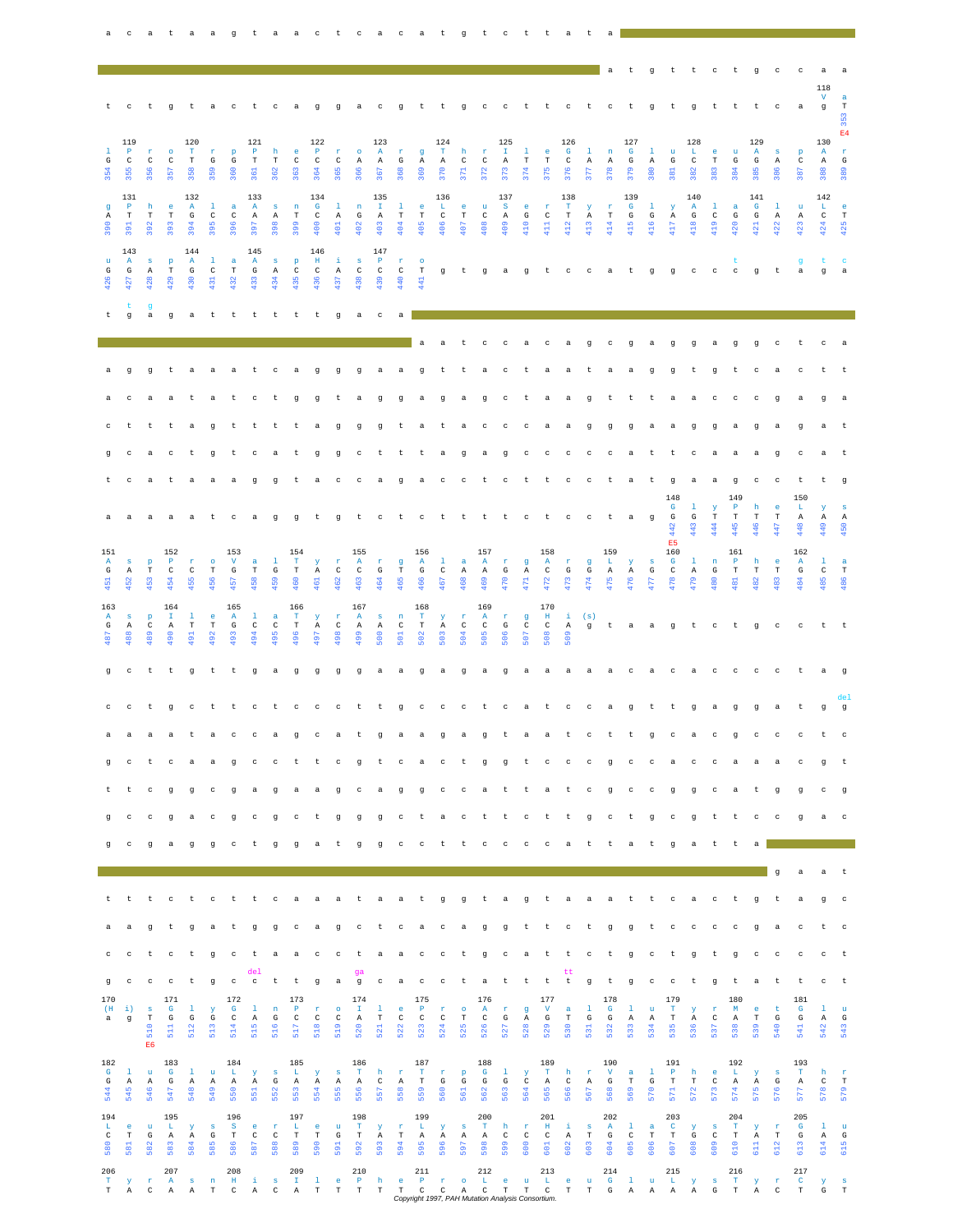|                                     |                                     |                                         |                                    |                                  |                              |                                     |                                     |                                    |                                               |                                                        |                                   |                                     |                                      |                                    |                                    |                                     |                                 |                                                                                          |                               |                               |                                                 |                                     |                              | a                                   |                                    |                                  | t gt t c t g c                      |                                     |                               |                                  |                                     |                                  | $\mathbf{C}$             | a                                         | a                          |
|-------------------------------------|-------------------------------------|-----------------------------------------|------------------------------------|----------------------------------|------------------------------|-------------------------------------|-------------------------------------|------------------------------------|-----------------------------------------------|--------------------------------------------------------|-----------------------------------|-------------------------------------|--------------------------------------|------------------------------------|------------------------------------|-------------------------------------|---------------------------------|------------------------------------------------------------------------------------------|-------------------------------|-------------------------------|-------------------------------------------------|-------------------------------------|------------------------------|-------------------------------------|------------------------------------|----------------------------------|-------------------------------------|-------------------------------------|-------------------------------|----------------------------------|-------------------------------------|----------------------------------|--------------------------|-------------------------------------------|----------------------------|
|                                     |                                     |                                         |                                    |                                  |                              |                                     |                                     |                                    |                                               |                                                        |                                   |                                     |                                      |                                    |                                    |                                     |                                 |                                                                                          |                               |                               |                                                 |                                     |                              |                                     |                                    |                                  |                                     |                                     |                               |                                  |                                     |                                  |                          | 118<br>$\mathbf v$                        | a                          |
| t                                   | $_{\rm c}$                          | t                                       | g                                  | t a                              |                              | $\mathbb{C}$                        | $-t$                                |                                    | caggacgttgccttctctgtgtt                       |                                                        |                                   |                                     |                                      |                                    |                                    |                                     |                                 |                                                                                          |                               |                               |                                                 |                                     |                              |                                     |                                    |                                  |                                     |                                     |                               |                                  | $-t$                                | $_{\rm c}$                       | $\rm{a}$                 | $\mathfrak g$                             | $\,$ T<br>353<br>E4        |
| 1<br>G                              | 119<br>$\mathbb{P}$<br>$\mathtt{C}$ | $\mathbf{r}$<br>C                       | $\circ$<br>$\rm{C}$                | 120<br>$\mathbf T$<br>$_{\rm T}$ | $\mathbf r$<br>G             | $\mathbf{p}$<br>G                   | 121<br>$\mathbf P$<br>$_{\rm T}$    | h<br>$_{\rm T}$                    | $\mathsf{e}% _{t}\left( t\right)$<br>$\rm{C}$ | 122<br>$\mathbf P$<br>$\mathtt{C}$                     | $\mathbf r$<br>$\mathtt{C}$       | $\bullet$<br>Α                      | 123<br>$\mathbf{A}$<br>$\,$ A        | $\mathbf{r}$<br>G                  | $\mathbf g$<br>Α                   | 124<br>$\mathbf T$<br>$\mathbb{A}$  | h<br>$\mathtt{C}$               | $\mathbf r$<br>$\mathtt{C}$                                                              | 125<br>$\mathbf{I}$<br>$\,$ A | $\mathbf{1}$<br>$_{\rm T}$    | $\mathsf{e}% _{t}\left( t\right)$<br>$_{\rm T}$ | 126<br>$\mathbf{G}$<br>$\mathtt{C}$ | $\mathbf{1}$<br>Α            | $\mathbf n$<br>Α                    | 127<br>$\mathbf G$<br>$\mathbb{G}$ | $\mathbf{1}$<br>Α                | $\mathbf u$<br>$\mathbb{G}$         | 128<br>$\mathbf{L}$<br>$\mathtt{C}$ | $\epsilon$<br>$_{\rm T}$      | $\mathbf{u}$<br>G                | 129<br>$\mathbf{A}$<br>$\mathbb{G}$ | $\,$ s<br>Α                      | $\, {\bf p}$<br>$\,c\,$  | 130<br>$\mathbf{A}$<br>Α                  | $\mathbf{r}$<br>G          |
| 354                                 | 355<br>131                          | 356                                     | 357                                | 358<br>132                       | 359                          | 360                                 | 361<br>133                          | 362                                | 363                                           | 364<br>134                                             | 365                               | 366                                 | 367<br>135                           | 368                                | 369                                | 370<br>136                          | 371                             | 372                                                                                      | 373<br>137                    | 374                           | 375                                             | 376<br>138                          | 377                          | 378                                 | 379<br>139                         | 380                              | 381                                 | 382<br>140                          | 383                           | 384                              | 385<br>141                          | 386                              | 387                      | 388<br>142                                | 389                        |
| g<br>Α<br>390                       | $\mathbf{P}$<br>$_{\rm T}$<br>391   | h<br>$_{\rm T}$<br>392                  | e<br>$_{\rm T}$<br>393             | $\,$ A<br>$\mathbb{G}$<br>394    | -1<br>$\rm{C}$<br>395        | a<br>$\rm{C}$<br>396                | $\mathbf{A}$<br>$\mathbb{A}$<br>397 | $\mathbf{s}$<br>A<br>398           | $\,$ n<br>$\mathbf T$<br>399                  | $\mathbf{G}$<br>$\mathtt{C}$<br>400                    | $\mathbf{1}$<br>Α<br>101          | $\,$ n<br>$\mathbb{G}$<br>102       | $\mathbb T$ .<br>$\mathbb{A}$<br>103 | $\mathbf{1}$<br>$\mathbf T$<br>104 | e.<br>$_{\rm T}$<br>105            | $\mathbf{L}$<br>$\,c\,$<br>106      | $\epsilon$<br>$_{\rm T}$<br>407 | u<br>$\rm{C}$<br>408                                                                     | S<br>$\,$ A<br>409            | e.<br>$\mathbb{G}$<br>410     | r<br>$\rm C$<br>411                             | $\mathbf T$<br>$_{\rm T}$<br>412    | Y<br>Α<br>413                | $\mathbf{r}$<br>$_{\rm T}$<br>414   | $\mathbf{G}$<br>G<br>415           | -1<br>G<br>416                   | У<br>Α<br>417                       | $\mathbf{A}$<br>G<br>418            | -1<br>$\mathtt{C}$<br>419     | a<br>G<br>420                    | $\mathbf G$<br>G<br>421             | -1<br>Α<br>422                   | u<br>A<br>123            | $\mathbf{L}_\parallel$<br>$\rm{C}$<br>424 | e<br>$\mathbf T$<br>425    |
| $\mathbf u$                         | 143<br>$\mathbf{A}$                 | $\,$ s                                  | $\mathbf{p}$                       | 144<br>$\, {\bf A} \,$           | 1                            | $\mathbf{a}$                        | 145<br>$\mathbf{A}$                 | $\,$ s                             | $\, {\bf p}$                                  | 146<br>$\;$ H                                          | $\pm$                             | $\mathbf{s}$                        | 147<br>$\mathbb P$                   | $\mathbf r$                        | $\bullet$                          |                                     |                                 |                                                                                          |                               |                               |                                                 |                                     |                              |                                     |                                    |                                  |                                     |                                     |                               |                                  |                                     |                                  | 9                        | t                                         | $\mathbf{c}$               |
| $\mathbb{G}$<br>426                 | $\mathbb{G}$<br>$\frac{27}{2}$      | Α<br>428                                | $_{\rm T}$<br>429                  | G<br>430                         | $\mathtt{C}$<br>431          | $_{\rm T}$<br>432                   | $\mathbb{G}$<br>433                 | Α<br>434                           | $\mathtt{C}$<br>435                           | $_{\rm C}$<br>436                                      | Α<br>437                          | $_{\rm C}$<br>438                   | $\,$ C<br>439                        | $\mathbf{C}$<br>440                | $_{\rm T}$<br>441                  |                                     |                                 | g t g a g                                                                                |                               |                               | $-t$                                            | $\mathbb{C}$                        | $\mathbb{C}$                 | a                                   | t                                  | g                                | $\mathfrak g$                       | $\mathbf{C}$                        | $\mathbf{C}$                  | $_{\rm c}$                       | g                                   | t                                | a                        | g                                         | $\rm{a}$                   |
| $\mathbf t$                         | t<br>$\mathbf{q}$                   | q<br>a                                  | g                                  | a                                | $\mathbf t$                  | τ                                   | τ                                   | τ                                  |                                               | t                                                      | $\mathbf q$                       | a                                   | c                                    | a                                  |                                    |                                     |                                 |                                                                                          |                               |                               |                                                 |                                     |                              |                                     |                                    |                                  |                                     |                                     |                               |                                  |                                     |                                  |                          |                                           |                            |
|                                     |                                     |                                         |                                    |                                  |                              |                                     |                                     |                                    |                                               |                                                        |                                   |                                     |                                      |                                    | a                                  | a                                   | t                               | $_{\rm c}$                                                                               | $\mathbf C$                   | a                             | C                                               | a                                   | g                            | $_{\rm c}$                          | g                                  | a                                | g                                   | g                                   | a                             | g                                | g                                   | c                                | t                        | c                                         | a                          |
|                                     | q                                   | g                                       | t                                  | $\mathbf a$                      | a                            | a                                   | t                                   | C                                  | a                                             | g                                                      | g                                 | g                                   | a                                    | a                                  | $\mathbf g$                        | t                                   | t                               | a                                                                                        | $\rm ^c$                      | t                             | a                                               | a                                   | t                            | a                                   | a                                  | $\mathbf g$                      | g                                   | t                                   | g                             | t                                | c                                   |                                  |                          |                                           |                            |
|                                     | C                                   | a                                       | a                                  | t                                | a                            | t                                   | C                                   | t                                  | g                                             | g                                                      | t                                 | $\mathbf a$                         | g                                    | g                                  | a                                  | g                                   | a                               | g                                                                                        | $_{\rm c}$                    | t                             | a                                               | a                                   | $\mathbf{g}$                 | t                                   | t                                  | t                                | a                                   | $\mathbf{a}$                        | C                             | c                                | c                                   | q                                |                          | q                                         |                            |
| c                                   | t.                                  | t                                       | t                                  | $\mathbf{a}$                     | g                            | $\mathbf t$                         | $\mathbf t$                         | $\mathbf t$                        | t                                             | $\mathbf{a}$                                           | g                                 | $\sigma$                            | g                                    | $\mathbf t$                        | a                                  | t                                   | a                               | $\mathbf{C}$                                                                             | $\mathbf{C}$                  | $\rm ^c$                      | a                                               | a                                   | g                            | g                                   | g                                  | a                                | a                                   | g                                   | g                             | a                                | g                                   | a                                | q                        | a                                         | t                          |
| g                                   | $_{\rm c}$                          | $\mathbf a$                             | $_{\rm c}$                         | t                                | $\mathsf g$                  | t                                   | $_{\rm c}$                          | $\rm{a}$                           | t                                             | g                                                      | $\mathbf g$                       | $_{\rm c}$                          | $\,$ t                               | t                                  | t                                  | $\mathbf{a}$                        | $\mathbf g$                     | $\mathbf{a}$                                                                             | $\,$ g                        | $_{\rm c}$                    | $_{\rm c}$                                      | $_{\rm c}$                          | $_{\rm c}$                   | $_{\rm c}$                          | $\rm{a}$                           | t                                | t                                   | $_{\rm c}$                          | $\mathbf a$                   | $\mathbf{a}$                     | a                                   | $\mathbf g$                      | $_{\rm c}$               | $^{\rm a}$                                | t                          |
| t                                   | $\rm ^c$                            | a                                       | t                                  | $\rm{a}$                         | $\rm{a}$                     | $\rm{a}$                            | $\mathbf g$                         | $_{\rm g}$                         | t                                             | $\rm{a}$                                               | $_{\rm c}$                        | $_{\rm c}$                          | $\mathbf{a}$                         | $\mathbf g$                        | $\rm{a}$                           | $\,$ $\,$ $\,$                      | $_{\rm c}$                      | t                                                                                        | $_{\rm c}$                    | t                             | $-t$                                            | $\mathbf{C}$                        | $\mathbf{C}$                 | $-t$                                | a                                  | $\sf t$                          | $_{\rm g}$<br>148<br>G              | $\rm{a}$<br>1                       | $\rm{a}$<br>У                 | g<br>149<br>$\mathbf{P}$         | $_{\rm c}$<br>h                     | $_{\rm c}$<br>e                  | t<br>150<br>L.           | t<br>У                                    | g<br>$\mathbf{s}$          |
| a                                   |                                     |                                         |                                    |                                  |                              |                                     |                                     |                                    | aaaat cagg t g t c t c t t t                  |                                                        |                                   |                                     |                                      |                                    |                                    |                                     |                                 |                                                                                          | $-t$                          | $\mathbb{C}$                  | t c c t                                         |                                     |                              |                                     | a a                                | $\mathsf g$                      | G<br>442                            | G<br>$\frac{43}{2}$                 | T<br>144                      | $_{\rm T}$<br>445                | $_{\rm T}$<br>446                   | $_{\rm T}$<br>47                 | $\mathbb{A}$<br>448      | Α<br>49                                   | Α<br>50                    |
| 151<br>Α<br>G                       | $\mathbf{s}$<br>Α                   | $\, {\bf p}$<br>T                       | 152<br>$\mathbf P$<br>$\mathtt{C}$ | $\mathbf r$<br>C                 | $\circ$<br>$_{\rm T}$        | 153<br>$\mathbf {V}$<br>G           | a<br>$_{\rm T}$                     | -1<br>G                            | 154<br>$\mathbf T$<br>$_{\rm T}$              | $\mathbf{y}$<br>Α                                      | $\mathbf r$<br>$\mathtt{C}$       | 155<br>$\mathbf{A}$<br>$\mathtt{C}$ | $\mathbf r$<br>G                     | $\mathbf{g}$<br>$_{\rm T}$         | 156<br>$\mathbf{A}$<br>G           | $\mathbf{1}$<br>$\mathbb{C}$        | $\mathbf{a}$<br>$\mathbb{A}$    | 157<br>$\mathbf{A}$<br>$\, {\bf A}$                                                      | $\mathbf r$<br>G              | $\mathbf g$<br>Α              | 158<br>$\mathbf{A}$<br>$\rm _C$                 | $\mathbf r$<br>G                    | g<br>G                       | 159<br>L<br>Α                       | Y<br>Α                             | $\mathbf{s}$<br>$\mathbb{G}$     | E5<br>160<br>$\mathbf{G}$<br>$\,$ C | -1<br>$\mathbf{A}$                  | $\mathbf n$<br>G              | 161<br>$\mathbf P$<br>$_{\rm T}$ | h<br>$_{\rm T}$                     | $\epsilon$<br>$_{\rm T}$         | 162<br>$\mathbf{A}$<br>G | -1<br>$\mathtt{C}$                        | a<br>$\,$ T                |
| 451                                 | 452                                 | $453$                                   | 454                                | 455                              | 456                          | 457                                 | 458                                 | 459                                | 460                                           | 5                                                      | 462                               | 463                                 | 464                                  | 465                                | 466                                | 467                                 | 468                             | 469                                                                                      | 470                           | 471                           | 472                                             | 473                                 | 474                          | 475                                 | 476                                | 477                              | 478                                 | 479                                 | 480                           | 481                              | 482                                 | 483                              | 484                      | 485                                       | 486                        |
| 163<br>$\mathbf{A}$<br>$\mathbb{G}$ | <b>S</b><br>Α                       | $\, {\bf p}$<br>$\,$ C                  | 164<br>$\mathbb T$<br>A            | 1<br>$_{\rm T}$                  | e<br>$_{\rm T}$              | 165<br>$\mathbf{A}$<br>G            | -1<br>$\,$ C                        | a<br>$\,$ C                        | 166<br>$\mathbf T$<br>$_{\rm T}$              | $\,$ Y<br>Α                                            | $\mathbf{r}$<br>$_{\rm C}$        | 167<br>A<br>$\,$ A                  | <b>S</b><br>$\,$ A                   | $\,$ n<br>$\,$ C                   | 168<br>$\mathbf T$<br>$_{\rm T}$   | $\,$ y<br>$\,$ A                    | $\mathbf{r}$<br>$\mathtt{C}$    | 169<br>$\mathbf{A}$<br>$_{\rm C}$                                                        | $\mathbf r$<br>G              | $\mathbf{g}$<br>$\mathtt{C}$  | 170<br>H<br>$\mathbf C$                         | i.<br>$\mathbf{A}$                  | (s)<br>g                     |                                     | t a a                              |                                  | g t                                 |                                     | $\mathbf{C}$                  | t.                               | g                                   | $\mathbf{C}$                     | $_{\rm c}$               | t                                         | $-t$                       |
| 487                                 | 488                                 | 489                                     | 490                                | 491                              | 492                          | 493                                 | 494                                 | 495                                | 496                                           | 497                                                    | 498                               | 499                                 | 500                                  | 501                                | 502                                | 503                                 | 504                             | 505                                                                                      | 506                           | 507                           | 508                                             | 509                                 |                              |                                     |                                    |                                  |                                     |                                     |                               |                                  |                                     |                                  |                          |                                           |                            |
| $g$ c                               |                                     | t                                       | t.                                 | g                                | t                            | t                                   | $\mathfrak g$                       | a                                  | $\mathbf g$                                   | g                                                      | g                                 | $\mathfrak g$                       | a                                    | a                                  | $\mathbf g$                        | a                                   | g                               | $\mathbf{a}$                                                                             | $_{\rm g}$                    | a                             | a                                               | a                                   | a                            | $\mathbf{a}$                        | $_{\rm c}$                         | a                                | c                                   | $\mathbf a$                         | $_{\rm c}$                    | c                                | $\rm ^c$                            | C                                | t                        | a                                         | 9                          |
|                                     | C                                   | $\mathbf t$                             | q                                  | $_{\rm c}$                       | $\mathbf t$                  | t                                   | $\mathbf{C}$                        | t                                  | $_{\rm c}$                                    | $\mathbf{C}$                                           | $\mathbf{C}$                      | $\mathbf t$                         | $\mathbf t$                          | $\mathbf q$                        | $_{\rm c}$                         | $_{\rm c}$                          | $\mathbf{C}$                    | $\mathbf{t}$                                                                             | $\mathbf{C}$                  | a                             | t                                               | $\mathbf{C}$                        | $\mathbf{C}$                 | a                                   | $\mathbf q$                        | t                                | t                                   | $\sigma$                            | $\mathbf a$                   | q                                | q                                   | a                                |                          | q                                         | del<br>$\mathbf{g}$        |
|                                     |                                     |                                         |                                    |                                  | $\mathbf{a}$                 | $\rm ^c$                            | C                                   |                                    | q                                             |                                                        |                                   |                                     | q                                    |                                    |                                    |                                     |                                 | q                                                                                        |                               |                               |                                                 | t                                   | $\mathbf C$                  | t                                   | t                                  | $\mathbf q$                      | c                                   | $\mathbf{a}$                        | c                             | q                                | c                                   | C                                | c                        |                                           |                            |
| g<br>τ                              | $\mathbf{C}$<br>t                   | t<br>c                                  | $_{\rm c}$<br>q                    | $\mathbf{a}$<br>q                | a<br>$\mathbf{C}$            | g<br>q                              | $_{\rm c}$<br>a                     | $\,$ $\,$ $\,$<br>$\mathbf{q}$     | t<br>a                                        | t<br>a                                                 | $\mathbf{C}$<br>q                 | g<br>$_{\rm c}$                     | a                                    | $\mathbf{g}$                       | t cac<br>$\mathbf{g}$              | $\mathbf{C}$                        | $-t$<br>$\mathbf{C}$            | g i<br>a                                                                                 | g<br>$-t$                     | $-t$<br>$-t$                  | $\mathbf{C}$<br>a                               | $\mathbb{C}$<br>$-t$                | $\mathbb{C}$<br>$\mathbf{C}$ | g i<br>g                            | $\mathbb{C}$<br>$\mathbf{C}$       | $\mathbf{C}$<br>$\mathbf{C}$     | a<br>g                              | $_{\rm c}$<br>g                     | $\,c$<br>$\mathbf C$          | $\mathbf{a}$<br>a                | a<br>t                              | a<br>$\sigma$                    | $_{\rm c}$<br>$\sigma$   | g<br>c                                    | t.<br>$\mathbf{g}$         |
| g                                   | $_{\rm c}$                          | $_{\rm c}$                              | $\mathbf q$                        | a                                | $_{\rm c}$                   | $\alpha$                            | $_{\rm c}$                          | $\alpha$                           | $_{\rm c}$                                    | t                                                      | $\sigma$                          | $\mathfrak g$                       | $\mathbf{g}$                         | $_{\rm c}$                         | t                                  | $\mathbf{a}$                        | $\mathbf{C}$                    | $-t$                                                                                     | $-t$                          | $\mathbf{C}$                  | $-t$                                            | $-t$                                | g                            | $\mathbf{C}$                        | t                                  | $\,$ g                           | $_{\rm c}$                          | q                                   | t                             | t                                | $\rm ^c$                            | $_{\rm c}$                       | $\mathbf{g}$             | $\rm{a}$                                  | $\mathbf{C}$               |
| q                                   | C                                   | $\sigma$                                | a                                  | q                                | $\mathfrak g$                | $_{\rm c}$                          | t                                   | $\mathfrak g$                      | $\mathbf{g}$                                  | $\rm{a}$                                               | t                                 | $\mathfrak g$                       | $\mathfrak g$                        | $\rm ^{c}$                         | $\mathbf{C}$                       | t                                   | $-t$                            | $_{\rm c}$                                                                               | $\qquad \qquad \mathbb{C}$    | $\mathbf{C}$                  | $\mathbb C$                                     | a                                   | t                            | $-t$                                | a a                                | t                                | $\mathbf g$                         | $\rm{a}$                            | t                             | t                                | $\mathbf{a}$                        |                                  |                          |                                           |                            |
|                                     |                                     |                                         |                                    |                                  |                              |                                     |                                     |                                    |                                               |                                                        |                                   |                                     |                                      |                                    |                                    |                                     |                                 |                                                                                          |                               |                               |                                                 |                                     |                              |                                     |                                    |                                  |                                     |                                     |                               |                                  |                                     | $\mathbf g$                      | $\rm{a}$                 | $^{\rm a}$                                | $\mathbf t$                |
|                                     | t                                   | t                                       | $\rm ^c$                           | t                                | $_{\rm c}$                   | t                                   | t                                   | $_{\rm c}$                         | $^{\rm a}$                                    | a                                                      | $\mathbf{a}$                      | t                                   | a                                    | a                                  | t                                  | g                                   | g                               | t                                                                                        | a                             | $\mathbf{g}$                  | t                                               | a,                                  | a                            | a                                   | t                                  | t                                | c                                   | a                                   | $_{\rm c}$                    | t                                | $\mathfrak g$                       | t                                | a                        | g                                         | $\mathbf{C}$               |
| a                                   | a                                   | ੁ                                       | t                                  | g                                | a                            | t                                   | $\mathbf{g}$                        | $\mathbf{g}$                       | $\mathbf{C}$                                  | a                                                      | g                                 | $\mathbb{C}$                        | t.                                   |                                    | c a                                | $\mathbf{C}$                        | a.                              | g                                                                                        | g                             | $-t$                          | $-t$                                            | $\mathbb{C}$                        | t                            | $\mathbf{g}$                        | g                                  | $-t$                             | $\mathbf{C}$                        | $\mathbf{C}$                        | $\mathbf{C}$                  | $_{\rm c}$                       | g                                   | a                                | $_{\rm c}$               | t                                         | $\mathbf{C}$               |
| c                                   | $\rm ^c$                            | t                                       | $_{\rm c}$                         | t                                | $\mathsf g$                  | $_{\rm c}$                          | $\mathbf t$<br>del                  | $\rm{a}$                           | $\rm{a}$                                      | $_{\rm c}$                                             | $_{\rm c}$                        | t<br>ga                             | $\mathbf{a}$                         | a                                  | $\mathbf{C}$                       | $\mathbf{c}$                        | t                               | $\mathbf g$                                                                              | $_{\rm c}$                    | a                             | $-t$                                            | $-t$<br>tt                          | $_{\rm c}$                   | $-t$                                | $\mathbf{g}$                       | $_{\rm c}$                       | t                                   | g                                   | t                             | $\mathfrak g$                    | $\rm ^c$                            | $_{\rm c}$                       | $_{\rm c}$               | $_{\rm c}$                                | $\mathbf t$                |
| g<br>170                            | C                                   | $_{\rm c}$                              | $_{\rm c}$<br>171                  | t                                | g                            | $_{\rm c}$<br>172                   | $_{\rm c}$                          | t                                  | t<br>173                                      | $\mathbf g$                                            | $\rm{a}$                          | $\mathbf g$<br>174                  | $\mathtt{C}$                         | $\rm{a}$                           | $_{\rm c}$<br>175                  | $_{\rm c}$                          | t                               | $\mathbf{a}$<br>176                                                                      | $\,$ t                        | t                             | t<br>177                                        | $\mathsf{t}$                        | $\mathsf g$                  | t<br>178                            | $\mathbf g$                        | $_{\rm c}$                       | $_{\rm c}$<br>179                   | t                                   | g                             | $\,$ t<br>180                    | $\rm{a}$                            | t                                | t<br>181                 | $\mathtt{C}$                              | $-t$                       |
| (H)<br>a                            | $\pm$ )<br>$\mathbf g$              | $\mathbf{s}$<br>$_{\rm T}$<br>510<br>E6 | $\mathbf G$<br>G<br>${\bf 511}$    | 1<br>G<br>512                    | У<br>G<br>513                | $\mathbf G$<br>$\rm{C}$<br>514      | $\mathbf{1}$<br>Α<br>515            | $\mathbf n$<br>$\mathbb{G}$<br>516 | $\,$ P<br>$\,$ C<br>517                       | $\mathbf r$<br>$\rm{C}$<br>518                         | $\circ$<br>$\mathtt{C}$<br>519    | $\mathbb T$<br>$\mathbb{A}$<br>520  | $\mathbf{1}$<br>$_{\rm T}$<br>521    | e<br>$\rm{C}$<br>522               | $\mathbf P$<br>$\,$ C<br>523       | $\mathbf r$<br>$\mathtt{C}$<br>524  | $\bullet$<br>$_{\rm T}$<br>525  | $\, {\bf A}$<br>$\rm{C}$<br>526                                                          | $\mathbf r$<br>G<br>527       | g<br>Α<br>528                 | $\mathbf{V}$<br>G<br>529                        | $\mathbf{a}$<br>$_{\rm T}$<br>530   | $1\,$<br>$\mathbb{G}$<br>531 | $\mathbf G$<br>G<br>532             | $\mathbf{1}$<br>$\,$ A<br>533      | $\mathbf u$<br>Α<br>534          | $\mathbf T$<br>$_{\rm T}$<br>535    | У<br>Α<br>536                       | r<br>$\mathtt{C}$<br>537      | $\mathbb M$<br>Α<br>538          | e<br>$_{\rm T}$<br>539              | $\mathsf{t}$<br>G<br>540         | $\mathbf{G}$<br>G<br>541 | $\mathbf{1}$<br>Α<br>542                  | $\mathbf u$<br>G<br>543    |
| 182<br>G<br>$\mathbf G$             | $\mathbf{1}$<br>$\mathbf{A}$        | $\mathbf{u}$<br>$\mathbf{A}$            | 183<br>$\mathbf{G}$<br>G           | 1<br>Α                           | $\mathbf u$<br>Α             | 184<br>L<br>Α                       | Y<br>Α                              | $\mathbf{s}$<br>$\mathbf G$        | 185<br>$\mathbf{L}_\parallel$<br>Α            | $\,$ Y<br>Α                                            | $\mathbf{s}$<br>Α                 | 186<br>$\mathbf T$<br>Α             | h<br>$\rm _C$                        | $\langle \mathbf{r} \rangle$<br>Α  | 187<br>$\mathbf T$<br>$_{\rm T}$   | $\mathbf{r}$<br>$\mathbf G$         | $\mathbf{p}$<br>$\mathbf G$     | 188<br>$\mathbf{G}$<br>$\mathbb{G}$                                                      | $\mathbf{1}$<br>$\mathbb{G}$  | $\mathbf{Y}$<br>$\,$ C        | 189<br>$\mathbf T$<br>Α                         | h<br>$\rm{C}$                       | $\mathbf{r}$<br>Α            | 190<br>$\mathbf{V}$<br>$\mathbb{G}$ | $\alpha$<br>$_{\rm T}$             | $\mathbf{1}$<br>$\mathbb{G}$     | 191<br>$\mathbb P$<br>$_{\rm T}$    | h<br>$_{\rm T}$                     | $\epsilon$<br>$\rm{C}$        | 192<br>$\  \mathbf{L} \ $<br>Α   | $\mathbf y$<br>Α                    | $\,$ s<br>$\mathbb{G}$           | 193<br>$\mathbf T$<br>Α  | h<br>$\rm{C}$                             | $\mathbf{r}$<br>$_{\rm T}$ |
| 544<br>194                          | 545                                 | 546                                     | 547<br>195                         | 548                              | 549                          | 550<br>196                          | 551                                 | 552                                | 553<br>197                                    | 554                                                    | 555                               | 556<br>198                          | 557                                  | 558                                | 559<br>199                         | 560                                 | 561                             | 562<br>200                                                                               | 563                           | 564                           | 565<br>201                                      | 566                                 | 567                          | 568<br>202                          | 569                                | 570                              | 571<br>203                          | 572                                 | 573                           | 574<br>204                       | 575                                 | 576                              | 577<br>205               | 578                                       | 579                        |
| L.<br>$\rm{C}$<br>580               | $\epsilon$<br>$_{\rm T}$<br>581     | $\mathbf{u}$<br>$\mathbb{G}$<br>582     | L.<br>Α<br>583                     | Y<br>Α<br>584                    | $\,$ s<br>$\mathbf G$<br>585 | $\mathbf{s}$<br>$_{\rm T}$<br>586   | $\mathbf{e}$<br>$\rm{C}$<br>587     | $\mathbf r$<br>$\rm{C}$<br>588     | $\mathbf{L}$<br>$_{\rm T}$<br>589             | $\mathsf{e}% _{t}\left( t\right)$<br>$_{\rm T}$<br>590 | $\mathbf u$<br>$\mathbf G$<br>591 | $\mathbf T$<br>$_{\rm T}$<br>592    | $\mathbf{Y}$<br>Α<br>593             | $\mathbf{r}$<br>$_{\rm T}$<br>594  | L<br>Α<br>595                      | $\mathbf{Y}$<br>$\mathbb{A}$<br>596 | $\,$ s<br>$\mathbb{A}$<br>597   | $\mathbf T$<br>Α<br>598                                                                  | h<br>$\rm{C}$<br>599          | $\mathbf{r}$<br>$\,$ C<br>600 | $\mathbf{H}$<br>$\rm C$<br>601                  | $\pm$<br>Α<br>602                   | $\,$ s<br>$_{\rm T}$<br>603  | $\mathbf{A}$<br>G<br>604            | $\mathbf{1}$<br>$\rm{C}$<br>605    | $\mathbf a$<br>$_{\rm T}$<br>606 | $\mathbf{C}$<br>$_{\rm T}$<br>607   | Y<br>G<br>608                       | $\,$ s<br>$\mathtt{C}$<br>609 | $\mathbf T$<br>$_{\rm T}$<br>610 | $\mathbf{y}$<br>Α<br>611            | $\mathbf r$<br>$_{\rm T}$<br>612 | G<br>$\mathbb{G}$<br>613 | $\mathbf{1}$<br>Α<br>614                  | $\mathbf u$<br>G<br>615    |
| 206<br>T<br>$_{\rm T}$              | $Y = r$<br>Α                        | $\mathbf{C}$                            | 207<br>A<br>$\mathbf{A}$           | $\mathbf{s}$<br>Α                | n<br>$_{\rm T}$              | 208<br>$\mathbf{H}$<br>$\mathtt{C}$ | $\pm$<br>Α                          | $\mathbf{s}$<br>$\,$ C             | 209<br>$\mathbf{I}$<br>Α                      | $\mathbf{1}$<br>T                                      | e<br>$_{\rm T}$                   | 210<br>$\mathbf{P}$<br>$_{\rm T}$   | $\mathbf T$                          | h e<br>$\mathbf T$                 | 211<br>$\mathbf{P}$<br>$\mathbf C$ | $\mathbf{r}$<br>$\mathbb{C}$        | $\bullet$<br>A                  | 212<br>$\mathbf{L}$<br>$\mathbf{C}$<br>Copyright 1997, PAH Mutation Analysis Consortium. | $^{\circ}$ e<br>T             | $\mathbf{u}$<br>$_{\rm T}$    | 213<br>$\mathbf{L}$<br>$\mathbf{C}$             | e –<br>$_{\rm T}$                   | $\mathbf{u}$<br>$_{\rm T}$   | 214<br>$\mathbf{G}$<br>G            | $\mathbf{1}$<br>$\mathbb{A}$       | $\mathbf{u}$<br>Α                | 215<br>$\mathbf{L}$ .<br>Α          | $\mathbf{Y}$<br>Α                   | $\mathbf{s}$<br>G             | 216<br>$\mathbf{T}$<br>T         | $\mathbf{Y}$<br>Α                   | $\mathbf r$<br>C                 | 217<br>$\mathbf{C}$<br>T | $Y = S$<br>G                              | $\mathbf T$                |

a c a t a a g t a a c t c a c a t g t c t t a t a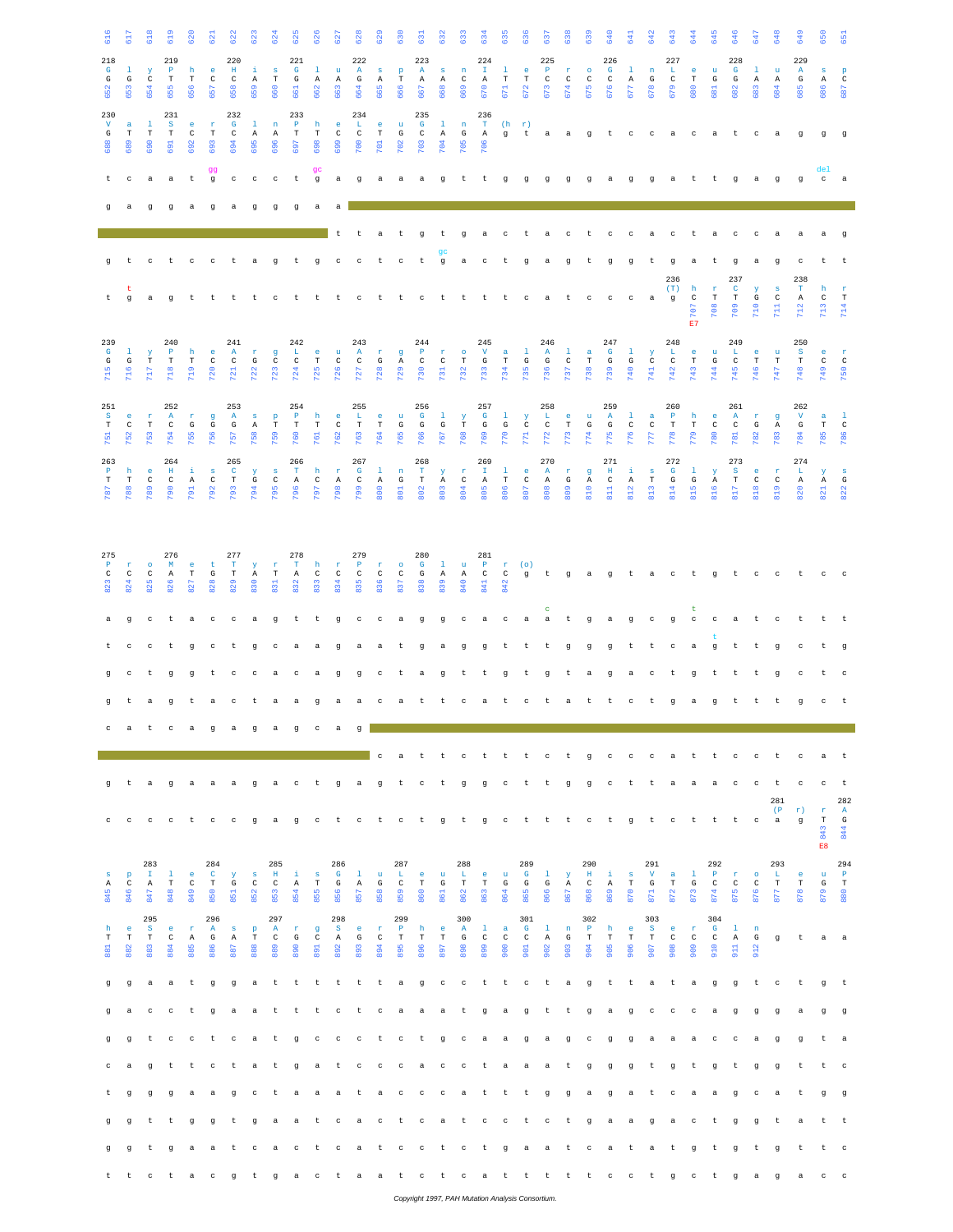| 616                                 | 5                         | $rac{18}{2}$                 | $\ddot{5}$                                            | $\frac{5}{2}$                | $\overline{3}$                     |                                     | $\tilde{\mathbf{S}}$               | 624                            | នី                                 | $\frac{8}{2}$           | ä                                   | $\tilde{a}$                                  | $\frac{2}{3}$                       | 630                          | ä                                   | ä                                  | ä                                  | Ġ                                  | ី3                                | ៵៓                                  | ė,                            | 638                                             | $rac{3}{6}$                       | 640                                 | 3                                   | 642                               | 643                                | 644                             | 645                                                                   | 646                                 | 545                      | 648                                | 649                                 | 650                      | $\overline{5}$                   |
|-------------------------------------|---------------------------|------------------------------|-------------------------------------------------------|------------------------------|------------------------------------|-------------------------------------|------------------------------------|--------------------------------|------------------------------------|-------------------------|-------------------------------------|----------------------------------------------|-------------------------------------|------------------------------|-------------------------------------|------------------------------------|------------------------------------|------------------------------------|-----------------------------------|-------------------------------------|-------------------------------|-------------------------------------------------|-----------------------------------|-------------------------------------|-------------------------------------|-----------------------------------|------------------------------------|---------------------------------|-----------------------------------------------------------------------|-------------------------------------|--------------------------|------------------------------------|-------------------------------------|--------------------------|----------------------------------|
| 218<br>$\mathbf{G}$<br>$\mathbb{G}$ | -1.<br>G                  | $\mathbf{y}$<br>$\mathtt{C}$ | 219<br>$\mathbf{P}$<br>$_{\rm T}$                     | h<br>$\mathbf T$             | -e<br>$\mathbb{C}$                 | 220<br>$\;$ H<br>$\mathbf{C}$       | -i<br>A                            | $\mathbf{s}$<br>$_{\rm T}$     | 221<br>$\mathbf{G}$<br>${\rm G}$   | $\mathbf{1}$            | $\mathbf{u}$<br>$\,$ A              | 222<br>$\mathbf{A}$<br>G                     | $S$ $p$                             | $\mathbf T$                  | 223<br>A                            | S                                  | $\mathbf n$<br>$\mathbb{C}$        | 224<br>$\mathbf{I}$<br>$\,$ A      | $\mathbf{1}$<br>$\mathbf T$       | e.<br>$\mathbf T$                   | 225<br>$\mathbf{P}$<br>$\,$ C | n.<br>$\,$ C                                    | $\bullet$<br>$\,$ C               | 226<br>$\mathbf{G}$<br>$\,$ C       | $\mathbf{L}$                        | $\mathbf n$<br>G                  | 227<br>L.<br>$_{\rm C}$            | e.<br>$\mathbf T$               | $\mathbf{u}$<br>$\mathbf{G}% _{T}=\mathbf{G}_{T}\times\mathbf{G}_{T}$ | 228<br>$\mathbf{G}$<br>$\mathbb{G}$ | $\mathbf{1}$             | $\mathbf{u}$                       | 229<br>A<br>${\bf G}$               | $\mathbf{s}$             | $\, {\bf p}$<br>$\,$ C           |
| 652                                 | 653                       | 654                          | 655                                                   |                              | 657                                | 658                                 | 659                                | 660                            | 661                                | A                       | 663                                 | 664                                          | A<br>665                            | 666                          | $\mathbb{A}$<br>667                 | A<br>668                           | 669                                | 670                                | 671                               | 672                                 | 673                           | 674                                             | 675                               | 676                                 | $\mathbb{A}$<br>677                 | 678                               | 679                                | 680                             | 581                                                                   | 682                                 | $\,$ A<br>583            | $\mathbb{A}$<br>684                | 685                                 | $\mathbb{A}$<br>686      | 687                              |
| 230<br>$\mathbf v$<br>G             | $\mathbf a$<br>$_{\rm T}$ | -1<br>$_{\rm T}$             | 231<br>$\mathbf S$<br>$_{\rm T}$                      | $\epsilon$<br>$\,$ C         | $\mathbf{r}$<br>$_{\rm T}$         | 232<br>$\mathbf{G}$<br>$\mathtt{C}$ | $\mathbf{1}$<br>$\mathbb{A}$       | $\mathbf n$<br>Α               | 233<br>$\mathbb P$<br>$_{\rm T}$   | h<br>$_{\rm T}$         | $\bullet$<br>$\rm{C}$               | 234<br>$\  \mathbf{L} \ $<br>$\mathtt{C}$    | $\bullet$<br>$_{\rm T}$             | $\mathbf{u}$<br>$\mathbb{G}$ | 235<br>$\mathbf G$<br>$\,$ C        | $\,1\,$<br>A                       | $\,$ n<br>$\mathbf{G}$             | 236<br>$\mathbf{T}$<br>A           | $(h - r)$<br>g                    | t                                   | a.                            | a                                               | $\overline{g}$                    | $-t$                                | $\mathbb{C}$                        | $c$ a                             |                                    | $_{\rm c}$                      | $\rm{a}$                                                              | t                                   | $\rm ^c$                 | $\rm{a}$                           | $\,$ g                              | $\mathbf g$              | <b>g</b>                         |
| 688                                 | 689                       | 690                          | 691                                                   | 692                          | 693                                | 694                                 | 695                                | 696                            | 697                                | 698                     | 699                                 | $\frac{1}{2}$                                | $\overline{5}$                      | 702                          | 103                                 | 104                                | 705                                | 706                                |                                   |                                     |                               |                                                 |                                   |                                     |                                     |                                   |                                    |                                 |                                                                       |                                     |                          |                                    |                                     |                          |                                  |
| t                                   | $_{\rm c}$                | $\rm{a}$                     | $\rm{a}$                                              | $\sf t$                      | qq<br>$\mathbf g$                  | $_{\rm c}$                          | $_{\rm c}$                         | $_{\rm c}$                     | $\sf t$                            | qc<br>$\,$ g            | $\mathbf{a}$                        | $\mathbf g$                                  | $\mathbf{a}$                        | a                            | $\mathbf{a}$                        | $\mathbf g$                        | t                                  | t                                  | $\mathfrak g$                     | $\mathfrak g$                       | $\mathbf{g}$                  | g                                               | g                                 | a                                   | $\mathfrak g$                       | $\mathfrak g$                     | $\alpha$                           | t                               | t.                                                                    | g                                   | a                        | $\mathbf{g}$                       | $\mathfrak g$                       | de1<br>$c$ a             |                                  |
|                                     | a                         | $\mathbf g$                  | $\sigma$                                              | a                            | $\mathbf g$                        | $\rm{a}$                            | $\mathbf g$                        | $\mathbf g$                    | $\mathbf g$                        | $\rm{a}$                | a                                   |                                              |                                     |                              |                                     |                                    |                                    |                                    |                                   |                                     |                               |                                                 |                                   |                                     |                                     |                                   |                                    |                                 |                                                                       |                                     |                          |                                    |                                     |                          |                                  |
|                                     |                           |                              |                                                       |                              |                                    |                                     |                                    |                                |                                    |                         | t                                   | t                                            | $\mathbf{a}$                        | t                            | q                                   | t                                  | q                                  | a                                  | $_{\rm c}$                        | t                                   | a                             | $\mathbf C$                                     | t                                 | $_{\rm c}$                          | $_{\rm c}$                          | a                                 | $\rm ^c$                           | t                               | $\mathbf{a}$                                                          | c                                   | c                        | a                                  | a                                   | $\mathbf{a}$             | g                                |
| g                                   | $\mathbf{t}$              | $\mathbf{C}$                 | $-t$                                                  | $\mathbf{C}$                 | $\sim$ $\sim$                      | t.                                  | $\mathbf{a}$                       | $\mathbf{g}$                   | t                                  | $\mathbf g$             | $\mathbf{C}$                        | $\mathbf{C}$                                 | $\mathbf{t}$                        | $_{\rm c}$                   | $\mathbf t$                         | gc<br>$\mathsf g$                  | $\rm{a}$                           | $_{\rm c}$                         | t                                 | $\mathbf g$                         | $\rm{a}$                      | $\mathbf g$                                     | $\mathbf{t}$                      | $\mathbf g$                         | $\alpha$                            | $\mathbf{t}$                      | $\mathbf g$<br>236                 | $\mathbf{a}$                    | t                                                                     | g<br>237                            | $\mathbf{a}$             | $\mathbf{g}$                       | c<br>238                            | t                        | t                                |
| t.                                  | t<br>$\mathbf g$          | a                            |                                                       | g t                          | t                                  | t.                                  | t                                  | $_{\rm c}$                     | t.                                 | t                       | t                                   | $_{\rm c}$                                   | t                                   | $\mathbf t$                  | $_{\rm c}$                          | $\,$ t                             | t                                  | t                                  | t                                 | $_{\rm c}$                          | a                             | $\,$ t                                          | $_{\rm c}$                        | $_{\rm C}$                          | $_{\rm c}$                          | a                                 | (T)<br>$\mathfrak g$               | h<br>$\,c\,$<br>707             | $\mathbf r$<br>$_{\rm T}$<br>708                                      | $\mathbf C$<br>$_{\rm T}$<br>709    | $\mathbf{y}$<br>G<br>710 | $\,$ s<br>$\,$ C<br>$\overline{a}$ | $\mathbf T$<br>$\,$ A<br>712        | h<br>$\mathtt{C}$<br>713 | $\mathbf r$<br>$_{\rm T}$<br>714 |
| 239                                 |                           |                              | 240                                                   |                              |                                    | 241                                 |                                    |                                | 242                                |                         |                                     | 243                                          |                                     |                              | 244                                 |                                    |                                    | 245                                |                                   |                                     | 246                           |                                                 |                                   | 247                                 |                                     |                                   | 248                                | E7                              |                                                                       | 249                                 |                          |                                    | 250                                 |                          |                                  |
| $\mathbf{G}$<br>G<br>715            | $\mathbf{1}$<br>G<br>716  | y<br>$_{\rm T}$<br>717       | $\mathbf P$<br>$_{\rm T}$<br>718                      | h<br>$_{\rm T}$<br>719       | e.<br>$\,$ C<br>720                | $\mathbf{A}$<br>$\,$ C<br>721       | $\mathbf r$<br>$\mathbb{G}$<br>722 | $\mathbf g$<br>$\rm{C}$<br>723 | $\mathbf{L}$<br>$\rm{C}$<br>724    | e.<br>$_{\rm T}$<br>725 | $\mathbf{u}$<br>$\rm{C}$<br>726     | $\mathbf{A}$<br>$\,$ C<br>727                | $\mathbf r$<br>${\rm G}$<br>728     | $\mathbf{g}$<br>A<br>729     | $\mathbf{P}$<br>$\mathbf{C}$<br>730 | $\mathbf{r}$<br>$_{\rm C}$<br>731  | $\bullet$<br>$_{\rm T}$<br>732     | $\mathbf{V}$<br>G<br>733           | a<br>$_{\rm T}$<br>734            | $\mathbf{1}$<br>$\mathbb{G}$<br>735 | $\mathbf{A}$<br>G<br>736      | $\mathbf{1}$<br>$\mathtt{C}$<br>737             | $\mathbf{a}$<br>$_{\rm T}$<br>738 | $\mathbf{G}$<br>$\mathbb{G}$<br>739 | $\mathbf{1}$<br>$\mathbb{G}$<br>740 | y<br>$\mathbf C$<br>741           | $\mathbf{L}$<br>$\,$ C<br>742      | $\epsilon$<br>$_{\rm T}$<br>743 | $\mathbf u$<br>$\mathbb{G}$<br>744                                    | $\mathbf{L}$<br>$\mathtt{C}$<br>745 | e.<br>$_{\rm T}$<br>746  | $\mathbf{u}$<br>$_{\rm T}$<br>747  | $\mathbf{s}$<br>$_{\rm T}$<br>748   | e<br>C<br>749            | $\mathbf{r}$<br>$\,$ C<br>750    |
|                                     |                           |                              |                                                       |                              |                                    |                                     |                                    |                                |                                    |                         |                                     |                                              |                                     |                              |                                     |                                    |                                    |                                    |                                   |                                     |                               |                                                 |                                   |                                     |                                     |                                   |                                    |                                 |                                                                       |                                     |                          |                                    |                                     |                          |                                  |
| 251<br>S.<br>$_{\rm T}$             | e<br>$\mathtt{C}$         | $\mathbf{r}$<br>$_{\rm T}$   | 252<br>$\mathbf{A}$<br>$\rm{C}$                       | $\mathbf r$<br>G             | $\mathbf g$<br>G                   | 253<br>$\mathbf{A}$<br>G            | $\mathbf{s}$<br>A                  | $\, {\bf p}$<br>$_{\rm T}$     | 254<br>$\mathbf{P}$<br>$_{\rm T}$  | h<br>$\mathbf T$        | $\bullet$<br>$\,$ C                 | 255<br>$\mathbf{L}_\parallel$<br>$\mathbf T$ | $\bullet$<br>$\mathbf T$            | $\mathbf{u}$<br>$\mathbb{G}$ | 256<br>$\mathbf{G}$<br>${\bf G}$    | $\mathbf{1}$<br>${\bf G}$          | $\mathbf{y}$<br>$\mathbf T$        | 257<br>$\mathbf{G}$<br>$\mathbf G$ | $\mathbf{1}$<br>$\mathbf G$       | $\mathbf{Y}$<br>$\,$ C              | 258<br>L<br>$\,$ C            | $\mathsf{e}% _{t}\left( t\right)$<br>$_{\rm T}$ | $\mathbf u$<br>$\mathbf G$        | 259<br>$\mathbf{A}$<br>$\mathbf G$  | $\mathbf{L}$<br>$\rm{C}$            | $\mathbf{a}$<br>$\rm _C$          | 260<br>$\mathbf{P}$<br>$\mathbf T$ | h<br>$_{\rm T}$                 | $\epsilon$<br>$\,$ C                                                  | 261<br>$\mathbf{A}$<br>$\rm _C$     | $\mathbf r$<br>G         | $\mathbf g$<br>$\mathbf{A}$        | 262<br>$\mathbf{V}$<br>${\bf G}$    | a<br>$\mathbf T$         | -1<br>$\,$ C                     |
| 751<br>263                          | 752                       | 753                          | 754<br>264                                            | 755                          | 756                                | 757<br>265                          | 758                                | 759                            | 760<br>266                         | 761                     | 762                                 | 763<br>267                                   | 764                                 | 765                          | 766<br>268                          | 767                                | 768                                | 769<br>269                         | 770                               | 771                                 | 772<br>270                    | 773                                             | 774                               | 775<br>271                          | 776                                 | 777                               | 778<br>272                         | 779                             | 780                                                                   | 781<br>273                          | 782                      | 783                                | 784<br>274                          | 785                      | 786                              |
| $\mathbf{P}$<br>$_{\rm T}$<br>787   | h<br>$_{\rm T}$<br>788    | e<br>$\mathtt{C}$<br>789     | $\,$ H $\,$<br>$\,c\,$<br>790                         | $\pm$<br>$\mathbb{A}$<br>791 | $\mathbf{s}$<br>$\mathbf C$<br>792 | $\mathbf{C}$<br>$_{\rm T}$<br>793   | У<br>G<br>794                      | $\,$ s<br>$\mathtt{C}$<br>795  | $\mathbf T$<br>$\mathbb{A}$<br>796 | h<br>$\,c\,$<br>797     | $\mathbf{r}$<br>$\mathbb{A}$<br>798 | $\mathbf{G}$<br>$\mathbf{C}$<br>799          | $\mathbf{1}$<br>$\mathbb{A}$<br>800 | n<br>G<br><b>BO1</b>         | $\mathbf{T}$<br>$_{\rm T}$<br>802   | $\mathbf{Y}$<br>A<br>$\frac{3}{2}$ | $\mathbf r$<br>$\mathbb{C}$<br>804 | $\mathbb T$<br>$\mathbb{A}$<br>805 | $\mathbf{1}$<br>$_{\rm T}$<br>806 | e.<br>$\,$ C<br>807                 | A<br>$\mathbb{A}$<br>808      | $\mathbf r$<br>G<br>809                         | g<br>$\mathbb{A}$<br>810          | $\;$ H<br>$\mathbf C$<br>811        | i.<br>$\mathbb{A}$<br>812           | $\mathbf{s}$<br>$_{\rm T}$<br>813 | $\mathbf{G}$<br>G<br>814           | $\mathbf{1}$<br>G<br>815        | $\mathbf y$<br>$\mathbb{A}$<br>816                                    | S.<br>$_{\rm T}$<br>817             | e<br>$\mathtt{C}$<br>818 | $\mathbf r$<br>$\mathtt{C}$<br>819 | $\mathbf{L}$<br>$\mathbb{A}$<br>820 | Y<br>$\mathbb{A}$<br>821 | $\mathbf{s}$<br>G<br>822         |
|                                     |                           |                              |                                                       |                              |                                    |                                     |                                    |                                |                                    |                         |                                     |                                              |                                     |                              |                                     |                                    |                                    |                                    |                                   |                                     |                               |                                                 |                                   |                                     |                                     |                                   |                                    |                                 |                                                                       |                                     |                          |                                    |                                     |                          |                                  |
|                                     |                           |                              |                                                       |                              |                                    |                                     |                                    |                                |                                    |                         |                                     |                                              |                                     |                              |                                     |                                    |                                    |                                    |                                   |                                     |                               |                                                 |                                   |                                     |                                     |                                   |                                    |                                 |                                                                       |                                     |                          |                                    |                                     |                          |                                  |
| 275<br>$\mathbf{P}$<br>$_{\rm C}$   | T.<br>$\mathbb{C}$        | $\bullet$<br>$\rm{C}$        | 276<br>M<br>A                                         | e.<br>$_{\rm T}$             | t<br>G                             | 277<br>$\mathbf T$<br>$\mathbf T$   | $\,$ Y<br>$\mathbb{A}$             | $\mathbf r$<br>$_{\rm T}$      | 278<br>$\mathbf T$<br>$\, {\bf A}$ | h<br>$\,c\,$            | $\mathbf{r}$<br>$\,$ C              | 279<br>$\mathbf{P}$<br>$\,$ C                | $\mathbf r$<br>$\,$ C               | $\circ$<br>$\,$ C            | 280<br>$\mathbf{G}$<br>G            | $\mathbf{1}$<br>A                  | $\mathbf{u}$<br>A                  | 281<br>$\mathbf{P}$<br>$\mathbb C$ | $\mathbb C$                       | $r$ (o)<br>$\mathbf{g}$             | $-t$                          | g                                               | a                                 | g                                   | $-t$                                | a                                 | $\mathbf{C}$                       | t                               | $\mathfrak g$                                                         | t                                   | $\mathbf{C}$             | $\mathbf{C}$                       | t                                   | $_{\rm c}$               | $\overline{c}$                   |
| 823                                 | 824                       | 825                          | 826                                                   | $\overline{52}$              | 828                                | 829                                 | 830                                | 831                            | 832                                | 833                     | 834                                 | 835                                          | 836                                 | 837                          | 838                                 | 839                                | 840                                | 841                                | 842                               |                                     | c                             |                                                 |                                   |                                     |                                     |                                   |                                    | t                               |                                                                       |                                     |                          |                                    |                                     |                          |                                  |
| a                                   | $\mathbf g$               |                              | $c$ t a                                               |                              | $\mathbf{C}$                       | c                                   | a                                  | $\mathbf g$                    | $\,$ t                             | $\,$ t                  | g                                   | $_{\rm c}$                                   | $_{\rm c}$                          | a                            | g                                   | g                                  | $_{\rm c}$                         | a                                  | $_{\rm c}$                        | a                                   | $\rm{a}$                      | $\,$ t                                          | g                                 | a                                   | g                                   | $_{\rm c}$                        | $\mathbf g$                        | $_{\rm c}$                      | $_{\rm c}$                                                            | a                                   | t                        | c                                  | t                                   | t                        | t                                |
|                                     | $\mathbf{C}$              | $_{\rm c}$                   | t                                                     | $\sigma$                     | $_{\rm c}$                         | t                                   | g                                  | $\rm ^c$                       | $\mathbf a$                        | a                       | $\alpha$                            | a                                            | a                                   | $\mathbf t$                  | $\mathbf g$                         | $\mathbf a$                        | g                                  | $\mathsf g$                        | t                                 | $\sf t$                             | t                             | $\mathbf g$                                     | $\mathbf g$                       | $\mathbf g$                         | t                                   | $\sf t$                           | $_{\rm c}$                         | $\mathbf a$                     | g                                                                     | t                                   | t                        | $\mathbf g$                        | $\rm ^c$                            | t                        | $\mathbf g$                      |
| g                                   | $_{\rm c}$                | t                            | $\mathsf g$                                           | $\,$ g                       | t                                  | $\rm ^c$                            | $_{\rm c}$                         | $\rm{a}$                       | $_{\rm c}$                         | $^{\rm a}$              | g                                   | $\mathbf g$                                  | $\rm ^c$                            | t                            | a                                   | $\mathbf g$                        | t                                  | t                                  | $\mathsf g$                       | $\sf t$                             | $\,$ g                        | t                                               | $\rm{a}$                          | $\mathbf g$                         | $\rm{a}$                            | $_{\rm c}$                        | t                                  | g                               | t                                                                     | t                                   | t                        | $\mathbf g$                        | $_{\rm c}$                          | t                        | $_{\rm c}$                       |
|                                     | t                         | a                            | g                                                     | t                            | a                                  | $_{\rm c}$                          | t                                  | $\rm{a}$                       | $\rm{a}$                           | $\mathbf g$             | a                                   | $\rm{a}$                                     | $\rm ^c$                            | a                            | t                                   | t                                  | $_{\rm c}$                         | $\rm{a}$                           | $\,$ t                            | $_{\rm c}$                          | t                             | a                                               | t                                 | t                                   | $_{\rm c}$                          | t                                 | $\mathbf g$                        | $\rm{a}$                        | g                                                                     | t                                   | t                        | t                                  | q                                   | $_{\rm c}$               | $-t$                             |
| $\mathbf{C}$                        | a                         |                              | t cagagage                                            |                              |                                    |                                     |                                    |                                |                                    |                         | $\mathbf{a}$                        | $\mathfrak g$                                | c                                   | a                            | t                                   | t                                  | $\mathbf{C}$                       | $-t$                               | $-t$                              | t                                   | $\mathbf{C}$                  | t                                               | $\mathbf{g}$                      | $\mathbf{C}$                        | $\sim$ $\sim$                       | $\overline{c}$                    |                                    | a t                             | t.                                                                    | $_{\rm c}$                          | $\mathbf{C}$             | t                                  | $_{\rm c}$                          | a                        | t t                              |
| q                                   | τ                         | a                            | g                                                     | a                            | a                                  | a                                   | g                                  | a                              | $\mathbf{C}$                       |                         |                                     | t ga g                                       |                                     |                              | t c t                               |                                    | g                                  | g                                  | $\mathbf{C}$                      | $-t$                                | t g                           |                                                 | $\alpha$                          | $_{\rm C}$                          | ヒ                                   | t.                                | a                                  | a                               | a                                                                     | $_{\rm c}$                          | $_{\rm c}$               | t                                  | $_{\rm c}$                          | $_{\rm c}$               | t                                |
|                                     |                           |                              |                                                       |                              |                                    |                                     |                                    |                                |                                    |                         |                                     |                                              |                                     |                              |                                     |                                    |                                    |                                    |                                   |                                     |                               |                                                 |                                   |                                     |                                     |                                   |                                    |                                 |                                                                       |                                     |                          | 281<br>(P)                         | r)                                  | $\mathbf r$              | 282<br>$\mathbf{A}$              |
| $\circ$                             | $\mathbf{C}$              |                              | cctccgagetetetgtg                                     |                              |                                    |                                     |                                    |                                |                                    |                         |                                     |                                              |                                     |                              |                                     |                                    |                                    |                                    | $\mathbb C$                       | $-t$                                | $-t$                          | $-t$                                            | $\mathbb{C}$                      | t                                   | g                                   | t                                 | $_{\rm c}$                         | t                               | t                                                                     | t                                   | $\rm ^c$                 | a                                  | $\mathbf{g}$                        | $_{\rm T}$<br>843        | G<br>844                         |
| $\mathbf{s}$                        | $\, {\bf p}$              | 283<br>$\mathbf{I}$          | -1                                                    | e.                           | 284<br>$\mathbf{C}$                | Y                                   | $\,$ s                             | 285<br>H                       | ÷i.                                | $\mathbf{s}$            | 286<br>$\mathbf{G}$                 | $\mathbf{1}$                                 | $\mathbf{u}$                        | 287<br>L                     | e.                                  | $\mathbf{u}$                       | 288<br>L                           | $\epsilon$                         | $\mathbf{u}$                      | 289<br>$\mathbf{G}$                 | $\mathbf{1}$                  | $\mathbf{y}$                                    | 290<br>$\mathbf{H}$               | $\mathbf{i}$                        | $\mathbf{s}$                        | 291<br>$\mathbf{V}$               | a                                  | $\mathbf{1}$                    | 292<br>$\mathbf P$                                                    | $\mathbf r$                         | $\circ$                  | 293<br>L.                          | $\epsilon$                          | E8<br>$\mathbf u$        | 294<br>$\mathbf{P}$              |
| Α<br>845                            | $\mathtt{C}$<br>846       | Α<br>847                     | $_{\rm T}$<br>848                                     | $\,$ C<br>849                | $_{\rm T}$<br>850                  | G<br>851                            | C<br>852                           | $\mathtt{C}$<br>853            | Α<br>854                           | $_{\rm T}$<br>855       | $\mathbf{G}% _{0}$<br>856           | Α<br>857                                     | G<br>858                            | $\mathbb{C}$<br>859          | $_{\rm T}$<br>860                   | G<br>861                           | $_{\rm T}$<br>862                  | $\mathbf T$<br>863                 | G<br>864                          | G<br>865                            | G<br>866                      | $\mathbf{A}$<br>867                             | $\mathtt{C}$<br>868               | $\mathbb{A}$<br>869                 | $_{\rm T}$<br>870                   | G<br>871                          | $_{\rm T}$<br>872                  | G<br>873                        | $\mathtt{C}$<br>874                                                   | $\mathtt{C}$<br>875                 | $\mathtt{C}$<br>876      | $_{\rm T}$<br>877                  | $_{\rm T}$<br>878                   | G<br>879                 | $\, {\rm T}$<br>880              |
| h                                   | $\mathbf{e}$              | 295<br>$\mathbf{s}$          | e.                                                    | $\mathbf r$                  | 296<br>$\mathbf{A}$                | $\mathbf{s}$                        | $\, {\bf p}$                       | 297<br>A                       | $\mathbf r$                        | g                       | 298<br>$^{\circ}$ S                 | e.                                           | $\mathbf{r}$                        | 299<br>$\mathbf{P}$          | h                                   | $^{\circ}$ e                       | 300<br>A                           | $\mathbf{1}$                       | $\alpha$                          | 301<br>$\mathbf{G}$                 | $\mathbf{1}$                  | $\,$ n                                          | 302<br>$\mathbf{P}$               | h                                   | $\bullet$                           | 303<br>$\mathbf{s}$               | e.                                 | $\mathbf r$                     | 304<br>$\mathbf{G}$                                                   | $\mathbf{1}$                        | n                        |                                    |                                     |                          |                                  |
| $_{\rm T}$<br>881                   | $_{\rm T}$<br>882         | $_{\rm T}$<br>883            | $\,c\,$<br>884                                        | $\mathbb{A}$<br>885          | G<br>886                           | $\,$ A<br>887                       | $_{\rm T}$<br>888                  | $\rm{C}$<br>889                | G<br>890                           | $\,$ C<br>891           | $\,$ A<br>892                       | G<br>893                                     | $\,$ C<br>894                       | $\mathbf T$<br>895           | $_{\rm T}$<br>896                   | $_{\rm T}$<br>897                  | ${\mathbf G}$<br>898               | $\,$ C<br>899                      | $\,$ C<br>900                     | $\,$ C<br>901                       | $\,$ A<br>902                 | ${\rm G}$<br>903                                | $_{\rm T}$<br>904                 | $_{\rm T}$<br>905                   | $_{\rm T}$<br>906                   | $_{\rm T}$<br>907                 | $\mathbf{C}$<br>908                | $\,c\,$<br>909                  | $\mathbb{C}$<br>910                                                   | $\,$ A<br>911                       | G<br>912                 | $\mathbf{g}$                       | t                                   | a a                      |                                  |
| g                                   | $\mathfrak g$             |                              | a a t g g a t t t t t t a g c c t t c t a g t t a t a |                              |                                    |                                     |                                    |                                |                                    |                         |                                     |                                              |                                     |                              |                                     |                                    |                                    |                                    |                                   |                                     |                               |                                                 |                                   |                                     |                                     |                                   |                                    |                                 | g                                                                     | $\mathfrak g$                       | t                        | $_{\rm c}$                         | t                                   | g                        | $-t$                             |
| g                                   | a                         | $_{\rm c}$                   | $\mathbf{C}$                                          | t                            | g                                  | a.                                  | a.                                 | $-t$                           | t                                  |                         |                                     | t c t c a a                                  |                                     |                              |                                     | $\alpha$                           | t g                                |                                    | a g                               |                                     |                               |                                                 |                                   | t t gagee                           |                                     |                                   |                                    | $\mathbf{C}$                    | $\mathbf{a}$                                                          | $\mathfrak g$                       | $\mathfrak g$            | $\mathbf g$                        | $^{\rm a}$                          | g                        | $\mathbf g$                      |
| g                                   | g                         | t                            | $\mathbf{C}$                                          |                              |                                    | ctca                                |                                    | t                              | $_{\rm g}$                         |                         |                                     | ccctctgca                                    |                                     |                              |                                     |                                    |                                    |                                    | a,                                | $\mathbf{g}$                        | a.                            | <b>g</b>                                        | $\mathbf{C}$                      | g                                   | g                                   | a a                               | a                                  | a                               | $_{\rm c}$                                                            | $_{\rm c}$                          | a                        | $\mathfrak g$                      | g                                   | t                        | - a                              |
|                                     | a                         | $\mathbf{q}$                 | t                                                     | $\,$ t                       | $_{\rm c}$                         | t                                   | $\rm{a}$                           | $\mathbf t$                    | $_{\rm g}$                         | $\rm{a}$                | t                                   | $_{\rm c}$                                   | $_{\rm c}$                          | $_{\rm c}$                   | $\mathbf{a}$                        | $\mathbf{C}$                       | $\mathbf{C}$                       | $-t$                               | a                                 | a                                   | a                             | $-t$                                            | $\mathbf g$                       | $\mathbf g$                         | $\mathbf g$                         | t                                 | $\,$ g                             | t                               | g                                                                     | t                                   | $\alpha$                 | $\mathbf q$                        | t                                   | t                        | $\mathbf{C}$                     |
|                                     | g                         | $\mathbf g$                  | $_{\rm g}$                                            | a                            | a                                  | g                                   | $_{\rm c}$                         | $\mathbf t$                    | $\rm{a}$                           | $\mathbf{a}$            |                                     | a t                                          |                                     |                              | a c c c a t                         |                                    |                                    |                                    | $-t$                              | t                                   | $\mathbf{g}$                  | g                                               | a                                 | $\mathbf g$                         | a                                   | $-t$                              | $_{\rm c}$                         | $\mathbf{a}$                    | $\rm{a}$                                                              | g                                   | $\rm ^c$                 | a                                  | t                                   | g                        | <b>g</b>                         |
|                                     | g                         | $\mathbf t$                  | t                                                     | g                            | g                                  | t.                                  | g                                  | a                              |                                    | a t                     | $\mathbf{C}$                        |                                              |                                     |                              | a c t c                             |                                    |                                    | a t c c                            |                                   | $-t$                                | $\overline{c}$                | $-t$                                            | g                                 | a                                   | a                                   | ੁ                                 | a                                  | $\mathbf{C}$                    | t                                                                     | g                                   | g                        | t                                  | $\mathbf a$                         | t t                      |                                  |
| g                                   | g                         | t                            | g                                                     |                              |                                    | a a t c                             |                                    |                                | a c                                | t                       |                                     | catc                                         |                                     |                              |                                     |                                    |                                    | $c$ t $c$ t                        | g                                 | a a                                 |                               | t                                               | $\mathbb{C}$                      | a                                   | $-t$                                | a.                                | t                                  | g                               | t                                                                     | g                                   | t                        | $\mathbf q$                        | t                                   | t                        | $\overline{c}$                   |
|                                     |                           |                              | t t c t a c                                           |                              |                                    |                                     |                                    |                                | gtgactaat ctcatt tttcctgct         |                         |                                     |                                              |                                     |                              |                                     |                                    |                                    |                                    |                                   |                                     |                               |                                                 |                                   |                                     |                                     |                                   |                                    |                                 |                                                                       | g                                   | a                        | $\sigma$                           | a                                   | $c$ $c$                  |                                  |

*Copyright 1997, PAH Mutation Analysis Consortium.*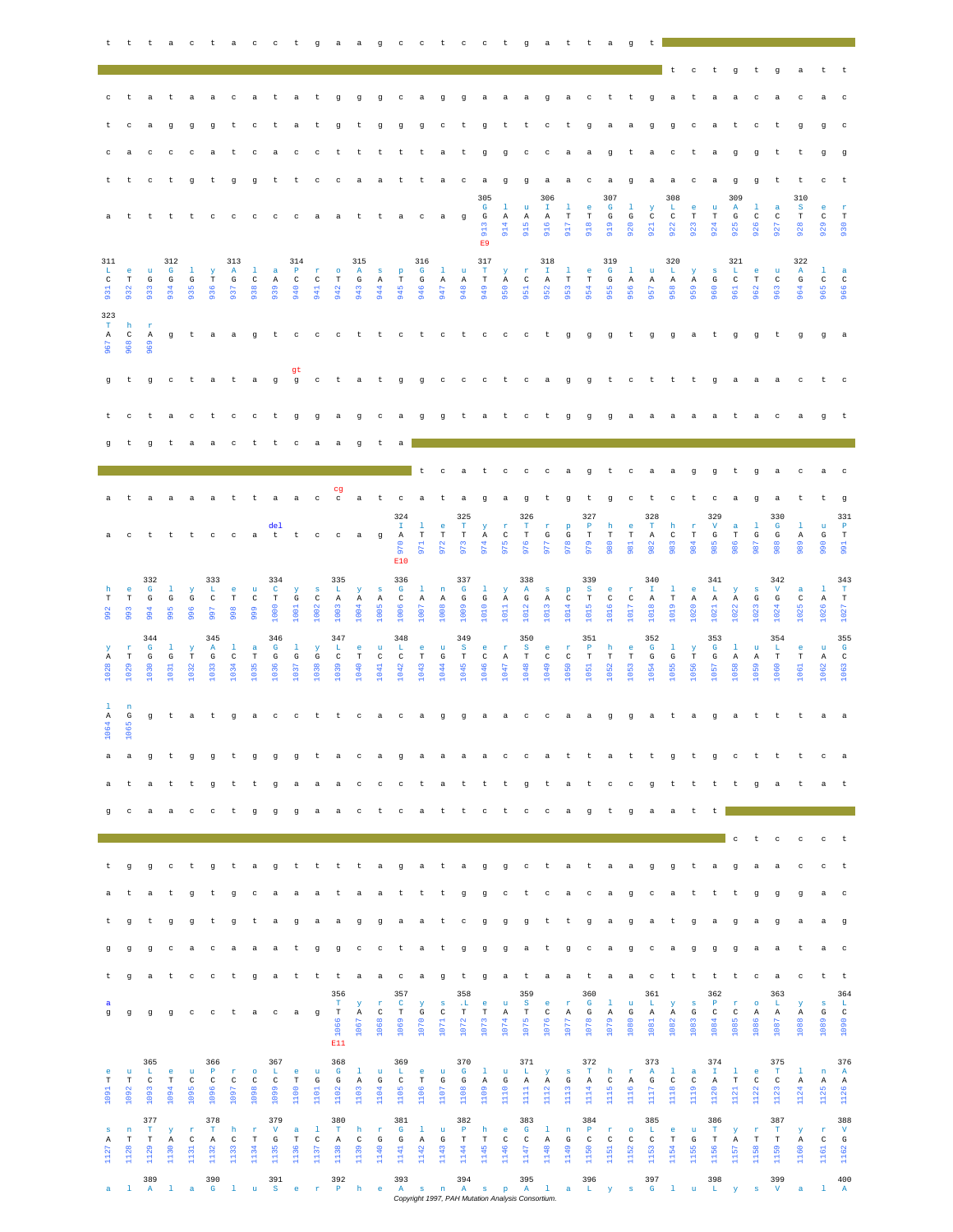|                                          |                                    |                                           | t t t a c t a c c t g a a g c c t c c t g a t t a |                                      |                                             |                                      |                                     |                                  |                                      |                                     |                                            |                                      |                                      |                                                   |                                            |                                    |                                           |                                          |                                      |                                                                          |                                           |                                      |                                             |                                          | <b>g</b>                            | t                                           |                                   |                                  |                                             |                                              |                                      |                                             |                                              |                                        |                                             |
|------------------------------------------|------------------------------------|-------------------------------------------|---------------------------------------------------|--------------------------------------|---------------------------------------------|--------------------------------------|-------------------------------------|----------------------------------|--------------------------------------|-------------------------------------|--------------------------------------------|--------------------------------------|--------------------------------------|---------------------------------------------------|--------------------------------------------|------------------------------------|-------------------------------------------|------------------------------------------|--------------------------------------|--------------------------------------------------------------------------|-------------------------------------------|--------------------------------------|---------------------------------------------|------------------------------------------|-------------------------------------|---------------------------------------------|-----------------------------------|----------------------------------|---------------------------------------------|----------------------------------------------|--------------------------------------|---------------------------------------------|----------------------------------------------|----------------------------------------|---------------------------------------------|
|                                          |                                    |                                           |                                                   |                                      |                                             |                                      |                                     |                                  |                                      |                                     |                                            |                                      |                                      |                                                   |                                            |                                    |                                           |                                          |                                      |                                                                          |                                           |                                      |                                             |                                          |                                     |                                             | t                                 |                                  | c t                                         | 9                                            | t                                    | g                                           | a                                            | t                                      | t t                                         |
| $_{\rm c}$                               | t                                  |                                           | a t                                               |                                      |                                             |                                      |                                     | a a catat gggcaggaaagact t gataa |                                      |                                     |                                            |                                      |                                      |                                                   |                                            |                                    |                                           |                                          |                                      |                                                                          |                                           |                                      |                                             |                                          |                                     |                                             |                                   |                                  |                                             |                                              | $\mathbb{C}$                         | a                                           | $\mathbf{C}$                                 | a                                      | $\mathbf{C}$                                |
| t                                        | c                                  | a                                         | $\sigma$                                          | $\sigma$                             |                                             | q t c                                |                                     | t a                              |                                      | t g                                 |                                            |                                      |                                      |                                                   |                                            |                                    | t g g g c t                               |                                          |                                      |                                                                          | $g$ t t c t                               |                                      | $\mathbf{q}$                                | a a                                      | a                                   | g                                           | $\mathbf{q}$                      |                                  | c a t                                       |                                              | $\mathbf{C}$                         | t                                           | $\sigma$                                     | q                                      | $\mathbf{C}$                                |
| c                                        | a                                  | $\mathbf{C}$                              | $_{\rm c}$                                        | $_{\rm c}$                           | a                                           | $t$ c                                |                                     | a c                              |                                      | $\mathbb{C}$                        | t                                          | $-t$                                 |                                      | t t                                               | t                                          | $\alpha$                           | t.                                        | g                                        |                                      |                                                                          |                                           |                                      | g c c a a g                                 |                                          |                                     | t a                                         |                                   |                                  | ctag                                        |                                              | $\alpha$                             | t                                           | t                                            | $\sigma$                               | g                                           |
| t                                        | t                                  | c                                         | t                                                 | g                                    |                                             | t g g                                |                                     | t t c c a a t t                  |                                      |                                     |                                            |                                      |                                      |                                                   |                                            | a c                                |                                           | a                                        |                                      |                                                                          |                                           |                                      | gga a ca                                    |                                          | $\mathbf{g}$                        | a a                                         | a.                                |                                  | $c$ a                                       | g<br>309                                     |                                      | g t                                         | t<br>310                                     | $c$ t                                  |                                             |
| а                                        | $\mathbf t$                        | t t                                       |                                                   |                                      |                                             |                                      |                                     | t c c c c a                      |                                      |                                     | a                                          | t.                                   | t.                                   | a                                                 | $\mathbf{c}$                               | a g                                |                                           | 305<br>$\mathbf{G}$<br>G<br>913<br>E9    | $\mathbf{1}$<br>$\mathbb{A}$<br>914  | u<br>$\mathbf{A}$<br>915                                                 | 306<br>$\mathbb T$<br>$\mathbf{A}$<br>916 | $\mathbf{1}$<br>$_{\rm T}$<br>917    | e<br>$_{\rm T}$<br>918                      | 307<br>$\mathbf{G}$<br>G<br>919          | $\mathbf{1}$<br>G<br>920            | Y<br>$\mathtt{C}$<br>921                    | 308<br>L<br>$\mathbf{C}$<br>922   | e.<br>$_{\rm T}$<br>923          | u<br>$\mathbf T$<br>924                     | $\mathbf{A}$<br>G<br>925                     | $\mathbf{1}$<br>$\mathbf{C}$<br>926  | $\alpha$<br>$\mathbf{C}$<br>$\overline{56}$ | $\mathbf{s}$<br>$_{\rm T}$<br>$\frac{8}{26}$ | e.<br>$\mathbf{C}$<br>929              | <b>r</b><br>$\mathbf T$<br>930              |
| 311<br>L.<br>$\mathtt{C}$<br>931         | e.<br>T<br>932                     | u<br>G                                    | 312<br>$\mathbf{G}$<br>G                          | -1<br>$\mathbf{G}$<br>935            | $\mathbf{y}$<br>$\mathbf T$                 | 313<br>$\mathbf{A}$<br>G<br>937      | $\mathbf{1}$<br>$\mathbb{C}$<br>938 | $\alpha$<br>A<br>939             | 314<br>$\mathbf{P}$<br>$\,$ C<br>940 | $r \circ$<br>$\mathbb{C}$<br>941    | $\mathbb T$<br>942                         | 315<br>A<br>$\mathbf G$<br>943       | $S$ $p$<br>A<br>944                  | T<br>945                                          | 316<br>$\mathbf{G}$<br>$\mathbb{G}$<br>946 | $\mathbf{1}$<br>A<br>947           | $\mathbf{u}$<br>$\,$ A<br>948             | 317<br>$\mathbf T$<br>$\mathbf T$<br>949 | $\mathbf{Y}$<br>$\mathbb{A}$<br>950  | $\mathbf{r}$<br>$\,$ C<br>951                                            | 318<br>$\mathbb T$ .<br>A<br>952          | $\mathbf{1}$<br>$\mathbf T$<br>953   | e.<br>$\mathbf T$<br>954                    | 319<br>$\mathbf{G}$<br>$_{\rm G}$<br>955 | $1 - u$<br>$\mathbb{A}$<br>956      | A<br>957                                    | 320<br>$\mathbf{L}$ .<br>A<br>958 | $\mathbf{Y}$<br>A<br>959         | $\mathbf{s}$<br>$\mathbf{G}$<br>960         | 321<br>$\mathbf{L}$<br>$\overline{c}$<br>961 | e u<br>$\mathbf T$<br>962            | $\mathbf{C}$<br>963                         | 322<br>$\mathbf{A}$<br>$_{\rm G}$<br>964     | $\mathbf{1}$<br>$\mathbf{C}$<br>965    | <b>a</b><br>$\mathbf{C}$<br>966             |
| 323<br>$\mathbf T$<br>$\,$ A $\,$<br>967 | h<br>$\mathbb{C}$<br>968           | <b>r</b><br>$\mathbb{A}$<br>969           |                                                   |                                      |                                             |                                      |                                     |                                  |                                      |                                     |                                            |                                      |                                      |                                                   |                                            |                                    |                                           |                                          |                                      |                                                                          |                                           |                                      |                                             |                                          |                                     |                                             |                                   |                                  |                                             |                                              |                                      |                                             | g taagt cccttctctccctgggtggatggtgga          |                                        |                                             |
| g                                        | t                                  | ਾਤ                                        |                                                   |                                      |                                             |                                      |                                     |                                  | gt                                   |                                     |                                            |                                      |                                      |                                                   |                                            |                                    |                                           |                                          |                                      |                                                                          |                                           |                                      |                                             |                                          |                                     |                                             |                                   |                                  |                                             |                                              |                                      |                                             | ctataggctatggccctcaggtctttgaaactc            |                                        |                                             |
|                                          | C                                  | t                                         | a                                                 | $_{\rm c}$                           | t                                           | $c$ $c$ $t$                          |                                     |                                  | g                                    | g                                   | agcaggtat ctggg                            |                                      |                                      |                                                   |                                            |                                    |                                           |                                          |                                      |                                                                          |                                           |                                      |                                             |                                          |                                     | a a a a a t                                 |                                   |                                  |                                             |                                              | a                                    | $\mathbf{C}$                                | a                                            | g                                      | t t                                         |
| q                                        | t.                                 |                                           | gtaacttcaagta                                     |                                      |                                             |                                      |                                     |                                  |                                      |                                     |                                            |                                      |                                      |                                                   |                                            |                                    |                                           |                                          |                                      |                                                                          |                                           |                                      |                                             |                                          |                                     |                                             |                                   |                                  |                                             |                                              |                                      |                                             |                                              |                                        |                                             |
|                                          |                                    |                                           |                                                   |                                      |                                             |                                      |                                     |                                  |                                      |                                     |                                            |                                      |                                      |                                                   | $-t$                                       |                                    |                                           |                                          |                                      |                                                                          |                                           |                                      | cat c c c a g t c a a g g t g a             |                                          |                                     |                                             |                                   |                                  |                                             |                                              |                                      |                                             | $\mathbf{C}$                                 | a c                                    |                                             |
| a                                        | t                                  | a                                         | a                                                 | a                                    |                                             |                                      |                                     | attaac                           |                                      |                                     | cg<br>$\mathbf{C}$                         |                                      |                                      | a t c                                             |                                            | a t                                |                                           | a ga g                                   |                                      |                                                                          |                                           |                                      | t g t g                                     |                                          |                                     | $c$ t                                       |                                   |                                  |                                             | ctca                                         | g                                    | a.                                          | t.                                           | t g                                    |                                             |
| a                                        | $_{\rm c}$                         | t t                                       |                                                   | t                                    | $_{\rm C}$                                  | $\mathbb{C}$                         |                                     | del<br>a t t                     |                                      | $\mathbf{C}$                        | $\,$ $\,$ $\,$ $\,$                        | a                                    | g                                    | 324<br>$\mathbf{T}$<br>$\mathbf{A}$<br>970<br>E10 | -1<br>$_{\rm T}$<br>971                    | $\epsilon$<br>$\mathbf T$<br>972   | 325<br>$\mathbf T$<br>$\mathbf T$<br>973  | $\mathbf{Y}$<br>$\mathbf{A}$<br>974      | $\mathbf{r}$<br>$\mathtt{C}$<br>975  | 326<br>$\mathbf T$<br>$_{\rm T}$<br>976                                  | $\mathbf{r}$<br>G<br>977                  | $\mathbf{p}$<br>G<br>978             | 327<br>$\mathbf P$<br>$_{\rm T}$<br>979     | h<br>$_{\rm T}$<br>980                   | $\epsilon$<br>$_{\rm T}$<br>981     | 328<br>$\mathbf{T}$<br>$\mathbf{A}$<br>982  | h<br>$\mathbb{C}$<br>983          | $\mathbf r$<br>$_{\rm T}$<br>984 | 329<br>$\mathbf{V}$<br>G<br>985             | a<br>$_{\rm T}$<br>986                       | 1<br>G<br>987                        | 330<br>$\mathbf{G}$<br>G<br>988             | -1<br>Α<br>989                               | $\mathbf{u}$<br>G<br>990               | 331<br>$\mathbf P$<br>$_{\rm T}$<br>991     |
| h                                        | $\bullet$                          | 332<br>$\mathbf{G}$                       | -1                                                | $\mathbf{y}$                         | 333<br>L                                    | e.                                   | u                                   | 334<br>$\mathbf{C}$              | $\mathbf{Y}$                         | $\mathbf{s}$                        | 335<br>L                                   | $\mathbf{Y}$                         | $\mathbf{s}$                         | 336<br>$\mathbf{G}$                               | $\mathbf{1}$                               | $\,$ n                             | 337<br>$\mathbf{G}$                       | $\mathbf{1}$                             | $\mathbf{Y}$                         | 338<br>A                                                                 | $\mathbf{s}$                              | $\mathbf{p}$                         | 339<br>S.                                   | e.                                       | $\mathbf{r}$                        | 340<br>$\mathbf{I}$                         | $\mathbf{1}$                      | $^{\circ}$                       | 341<br>L                                    | $\mathbf{y}$                                 | $\mathbf{s}$                         | 342<br>$\mathbf{V}$                         | a                                            | -1                                     | 343<br>$\mathbf{T}$                         |
| $_{\rm T}$<br>992                        | $_{\rm T}$<br>993                  | G<br>994                                  | G<br>995                                          | G<br>996                             | $\mathbf{C}$<br>997                         | $_{\rm T}$<br>998                    | $\mathtt{C}$<br>999                 | $_{\rm T}$<br>1000               | G<br>1001                            | $\mathbb{C}$<br>1002                | A<br>1003                                  | A<br>1004                            | A<br>1005                            | $\mathbb{C}$<br>1006                              | A<br>1007                                  | A<br>1008                          | ${\bf G}$<br>1009                         | $\mathbf G$<br>1010                      | $\mathbb{A}$<br>1011                 | G<br>1012                                                                | A<br>1013                                 | $\mathbb{C}$<br>1014                 | $_{\rm T}$<br>1015                          | $\mathbf C$<br>1016                      | $\mathbb{C}$<br>1017                | $\mathbb{A}$<br>1018                        | $\mathbf T$<br>1019               | A<br>1020                        | A<br>1021                                   | $\mathbb{A}$<br>1022                         | G<br>1023                            | $\mathbf G$<br>1024                         | $\mathbb{C}$<br>$1025$                       | A<br>1026                              | $\mathbf T$<br>1027                         |
| Y<br>$\mathbb{A}$<br>1028                | $\mathbf r$<br>$_{\rm T}$<br>1029  | 344<br>$\mathbf{G}$<br>G<br>1030          | -1<br>G<br>1031                                   | $\mathbf{Y}$<br>$_{\rm T}$<br>1032   | 345<br>$\mathbf{A}$<br>G<br>1033            | -1.<br>$\mathbb{C}$<br>1034          | a.<br>T<br>1035                     | 346<br>$\mathbf{G}$<br>G<br>1036 | -1.<br>G<br>1037                     | $\mathbf{Y}$<br>G<br>1038           | 347<br>L<br>$\,$ C<br>1039                 | e.<br>$\mathbf T$<br>1040            | $\mathbf{u}$<br>$\mathbb{C}$<br>1041 | 348<br>$\mathbf{L}$<br>$\mathbb{C}$<br>1042       | e.<br>$\mathbf T$<br>1043                  | $\mathbf{u}$<br>$_{\rm G}$<br>1044 | 349<br>S<br>$\mathbf T$<br>1045           | -e<br>$\mathbb{C}$<br>1046               | $\mathbf{r}$<br>$\mathbb{A}$<br>1047 | 350<br>$\mathbf{s}$<br>$\mathbf T$<br>1048                               | $^{\circ}$<br>$\mathbb{C}$<br>1049        | $\mathbf r$<br>$\mathbb{C}$<br>1050  | 351<br>$\mathbb{P}$<br>$\mathbf T$<br>1051  | h<br>$\mathbf T$<br>1052                 | $-e$<br>$\mathbf T$<br>1053         | 352<br>$\mathbf{G}$<br>$\mathbf{G}$<br>1054 | $\mathbf{1}$<br>G<br>1055         | $\mathbf{Y}$<br>T<br>1056        | 353<br>$\mathbf{G}$<br>G<br>1057            | $\mathbf{1}$<br>$\mathbb{A}$<br>1058         | $\mathbf{u}$<br>$\mathbb{A}$<br>1059 | 354<br>$\mathbf{L}$<br>$\mathbf T$<br>1060  | $^{\circ}$ e<br>$\mathbf T$<br>1061          | $\mathbf{u}$<br>$\mathbb{A}$<br>1062   | 355<br>$\mathbf{G}$<br>$\mathbb{C}$<br>1063 |
| $\mathbf{1}$<br>A<br>₩<br>106            | $\mathbf{n}$<br>G<br>1065          |                                           | g t                                               |                                      |                                             |                                      |                                     | at gaccttcacaggaaccaag           |                                      |                                     |                                            |                                      |                                      |                                                   |                                            |                                    |                                           |                                          |                                      |                                                                          |                                           |                                      |                                             |                                          |                                     |                                             |                                   |                                  |                                             |                                              |                                      |                                             | gatagat ttaa                                 |                                        |                                             |
| a                                        |                                    | g                                         | t                                                 | g                                    | g                                           | $-t$                                 | g                                   | g                                | g                                    | $-t$                                | a                                          | $\mathbb C$                          | $\alpha$                             | g                                                 | a                                          | a                                  | a                                         | a                                        | $\,$ $\,$ $\,$                       |                                                                          |                                           |                                      | catta                                       |                                          | t t                                 |                                             |                                   |                                  |                                             |                                              |                                      | gtgattt                                     |                                              | $\mathbf{C}$                           |                                             |
| a                                        | $\mathbf{t}$                       | a                                         | t                                                 | t                                    | g                                           | t t                                  |                                     | ੁ                                | a                                    | a                                   | accctattt                                  |                                      |                                      |                                                   |                                            |                                    |                                           |                                          |                                      |                                                                          |                                           |                                      | g tategt tttg                               |                                          |                                     |                                             |                                   |                                  |                                             |                                              |                                      | a.                                          | t.                                           | a t                                    |                                             |
| q                                        | $\mathbf{C}$                       | a                                         | a                                                 | $\mathbf{C}$                         | $\mathbf{C}$                                | t                                    | $\mathbf{q}$                        | $\alpha$                         | $\alpha$                             | - a                                 | a                                          | $\mathbf{C}$                         | t.                                   | $\mathbf{c}$                                      | $\mathbf{a}$                               | t t                                | t to be                                   | $\mathbf{c}$                             | t.                                   | $\mathbf{C}$                                                             | $C = A$                                   |                                      | $\mathfrak g$                               | t                                        | g                                   | a.                                          | a.                                | t.                               | t I a                                       |                                              |                                      |                                             |                                              |                                        |                                             |
|                                          |                                    |                                           |                                                   |                                      |                                             |                                      |                                     |                                  |                                      |                                     |                                            |                                      |                                      |                                                   |                                            |                                    |                                           |                                          |                                      |                                                                          |                                           |                                      |                                             |                                          |                                     |                                             |                                   |                                  |                                             | $_{\rm c}$                                   | t                                    | $\ ^{\rm c}$                                | $_{\rm c}$                                   | $_{\rm c}$                             | $-t$                                        |
| t                                        | $_{\rm g}$                         | $\mathbf g$                               | $_{\rm c}$                                        | t                                    | g                                           | t                                    | a.                                  | g                                | $-t$                                 | $-t$                                | t                                          | $-t$                                 | a                                    | g                                                 | a                                          | t                                  | $\rm{a}$                                  | $\mathbf g$                              | g                                    | $_{\rm c}$                                                               | t                                         | a                                    | t                                           | a                                        | a                                   | ੁ                                           | g                                 | t                                | a                                           | g                                            | a                                    | a                                           | $_{\rm c}$                                   | $c$ t                                  |                                             |
| a                                        | t                                  | a                                         | t                                                 | g                                    | t.                                          |                                      |                                     | g caaa                           |                                      |                                     | taattt g                                   |                                      |                                      |                                                   |                                            |                                    |                                           | g                                        | $\,$ $\,$ $\,$ $\,$                  | t                                                                        |                                           |                                      | ca ca                                       |                                          | $\mathbf{g}$                        | $\mathbf{C}$                                | a.                                | t t                              |                                             | t                                            | g                                    | $_{\rm g}$                                  | g                                            | $\mathbf{a}$                           | $\mathbf{C}$                                |
| τ.                                       | $\mathbf{g}$                       | t                                         | g                                                 | g                                    | t                                           | g                                    | t                                   | a                                | $\mathbf{g}$                         | a                                   | a g                                        |                                      | g                                    | a.                                                | a                                          | t                                  | $\mathbf{C}$                              | $\mathfrak g$                            | g                                    | g                                                                        | t.                                        | t                                    | g                                           | a                                        | g                                   | a                                           | t                                 | g                                | a                                           | g                                            | a                                    | $\mathbf{g}$                                | a                                            | a g                                    |                                             |
| g<br>t                                   | $\mathbf{g}$                       | g                                         | $_{\rm c}$                                        | a                                    | $_{\rm c}$                                  | a                                    | a                                   | a                                | $-t$                                 | g                                   | g c c t a t g                              |                                      |                                      |                                                   |                                            |                                    |                                           | $\mathbf g$                              | g                                    | a                                                                        | t g                                       |                                      | $\mathbb{C}$                                | <b>a</b>                                 | g                                   | $\mathbf{C}$                                | $\alpha$                          | g                                | g                                           | g                                            | a                                    | a                                           | t                                            | a c                                    |                                             |
|                                          | g                                  | a                                         | t                                                 | $\mathbf{C}$                         | $\mathbf{C}$                                | t g                                  |                                     | a t t                            |                                      |                                     | t<br>356<br>$\mathbf T$                    | a a                                  |                                      | $c$ a<br>357<br>$\mathbf{C}$                      |                                            | $\mathbf g$                        | t<br>358                                  | $\mathbf g$                              | a t                                  | 359<br>$\mathbf{s}$                                                      | a a                                       |                                      | t<br>360<br>$\mathbf{G}$                    | a                                        | a                                   | $\mathbf{C}$<br>361<br>L.                   |                                   |                                  | 362<br>$\mathbf{P}$                         |                                              |                                      | t t t t c a c<br>363<br>$\mathbf{L}$        |                                              | t t<br>S                               | 364                                         |
|                                          |                                    |                                           |                                                   |                                      |                                             |                                      |                                     |                                  |                                      |                                     |                                            | $\mathbf{Y}$                         | $\mathbf{r}$                         | $\mathbf T$                                       | $\mathbf{y}$<br>G                          | $\,$ s<br>$\rm{C}$                 | $\cdot$ L<br>$_{\rm T}$                   | $^{\circ}$ e<br>$\mathbf T$              | $\mathbf{u}$<br>Α<br>1074            | $_{\rm T}$<br>1075                                                       | e<br>$\mathbf C$<br>1076                  | $\mathbf r$<br>$\mathbb{A}$<br>1077  | $\mathbf{G}$<br>1078                        | $\mathbf{1}$<br>Α<br>1079                | $\mathbf u$<br>${\rm G}$<br>1080    | Α<br>1081                                   | Y<br>Α<br>1082                    | $\mathbf{s}$<br>G<br>1083        | $\mathbb{C}$<br>1084                        | <b>r</b><br>$_{\rm C}$                       | $\circ$<br>Α<br>1086                 | Α                                           | Y<br>Α                                       | G                                      | L<br>$\mathbf{C}$                           |
| a<br>g                                   | g                                  | $\mathfrak g$                             | g                                                 | $\mathbf{C}$                         | $\mathbf{C}$                                | t                                    | a                                   | $\mathbf{C}$                     | a                                    | g                                   | $\mathbf T$<br>1066<br>E11                 | $\mathbb{A}$<br>1067                 | $\mathbf{C}$<br>1068                 | 1069                                              | 1070                                       | 1071                               | 1072                                      | 1073                                     |                                      |                                                                          |                                           |                                      |                                             |                                          |                                     |                                             |                                   |                                  |                                             | 1085                                         |                                      | 1087                                        | 1088                                         | 1089                                   | 1090                                        |
| $\mathbf{e}$<br>$_{\rm T}$<br>1091       | $\mathbf{u}$<br>$_{\rm T}$<br>1092 | 365<br>L.<br>$\mathbf{C}$<br>1093         | -e<br>$_{\rm T}$<br>1094                          | $\mathbf{u}$<br>$\mathtt{C}$<br>1095 | 366<br>$\mathbf{P}$<br>$\mathtt{C}$<br>1096 | $\mathbf{r}$<br>$\mathbb{C}$<br>1097 | $\circ$<br>$\,$ C<br>1098           | 367<br>L<br>$\mathbb{C}$<br>1099 | e<br>$_{\rm T}$<br>1100              | $\mathbf u$<br>$\mathbb{G}$<br>1101 | 368<br>$\mathbf{G}$<br>$\mathbf G$<br>1102 | $\mathbf{1}$<br>$\mathbf{A}$<br>1103 | $\mathbf{u}$<br>$\mathbf{G}$<br>1104 | 369<br>L<br>$\mathbf{C}$<br>1105                  | e.<br>$_{\rm T}$<br>1106                   | $\mathbf u$<br>G<br>1107           | 370<br>$\mathbf{G}$<br>G<br>1108          | $\mathbf{1}$<br>$\mathbf{A}$<br>1109     | $\mathbf{u}$<br>G<br>1110            | 371<br>$\mathbf{L}_\parallel$<br>$\mathbf{A}$<br>$\overline{\mathbf{a}}$ | $\mathbf{y}$<br>$\mathbb{A}$<br>1112      | $\mathbf{s}$<br>$\mathbb{G}$<br>1113 | 372<br>$\mathbf{T}$<br>$\mathbb{A}$<br>1114 | h<br>$\mathbb{C}$<br>1115                | $\mathbf r$<br>$\mathbf{A}$<br>1116 | 373<br>$\mathbf{A}$<br>G<br>1117            | $\mathbf{1}$<br>$\,$ C<br>1118    | $\alpha$<br>$\mathbb{C}$<br>1119 | 374<br>$\mathbf{T}$<br>$\mathbf{A}$<br>1120 | $\mathbf{1}$<br>$_{\rm T}$<br>1121           | $\epsilon$<br>$\mathbf{C}$<br>1122   | 375<br>$\mathbf{T}$<br>$\mathbf C$<br>1123  | $\mathbf{1}$<br>A<br>1124                    | $\mathbf n$<br>$\mathbf{A}$<br>1125    | 376<br>$\mathbf{A}$<br>A<br>1126            |
| $\mathbf{s}$<br>Α<br>1127                | n<br>$\mathbf T$<br>1128           | 377<br>$\mathbf{T}$<br>$_{\rm T}$<br>1129 | $\mathbf{y}$<br>A<br>1130                         | $\mathbf r$<br>$_{\rm C}$<br>1131    | 378<br>$\mathbf{T}$<br>A<br>1132            | h<br>C<br>1133                       | $\mathbf{r}$<br>$_{\rm T}$<br>1134  | 379<br>$\mathbf{V}$<br>G<br>1135 | $\mathbf{a}$<br>$_{\rm T}$<br>1136   | $\mathbf{1}$<br>$\,$ C<br>1137      | 380<br>$\mathbf{T}$<br>Α<br>1138           | h<br>$\mathbf{C}$<br>1139            | $\mathbf{r}$<br>G<br>1140            | 381<br>$\mathbf{G}$<br>G<br>1141                  | $\mathbf{1}$<br>Α<br>1142                  | $\mathbf{u}$<br>G<br>1143          | 382<br>$\mathbf{P}$<br>$_{\rm T}$<br>1144 | h<br>$_{\rm T}$<br>1145                  | e.<br>$_{\rm C}$<br>1146             | 383<br>$\mathbf{G}$<br>$_{\rm C}$<br>1147                                | $\mathbf{1}$<br>$\mathbf{A}$<br>1148      | $\,$ n<br>G<br>1149                  | 384<br>$\mathbf{P}$<br>$_{\rm C}$<br>1150   | $\mathbf{r}$<br>$\mathbf C$<br>1151      | $\circ$<br>$\mathtt{C}$<br>1152     | 385<br>L.<br>$\mathtt{C}$<br>1153           | e.<br>$_{\rm T}$<br>1154          | $\mathbf{u}$<br>G<br>1155        | 386<br>$\mathbf{T}$<br>$_{\rm T}$<br>1156   | $\mathbf{y}$<br>A<br>1157                    | $\mathbf r$<br>$\mathbf T$<br>1158   | 387<br>$\mathbf{T}$<br>$_{\rm T}$<br>1159   | Y.<br>A<br>1160                              | $\mathbf r$<br>$\mathbf{C}$<br>5<br>Ħ. | 388<br>$\mathbf{V}$<br>G<br>$\sqrt{6}$<br>я |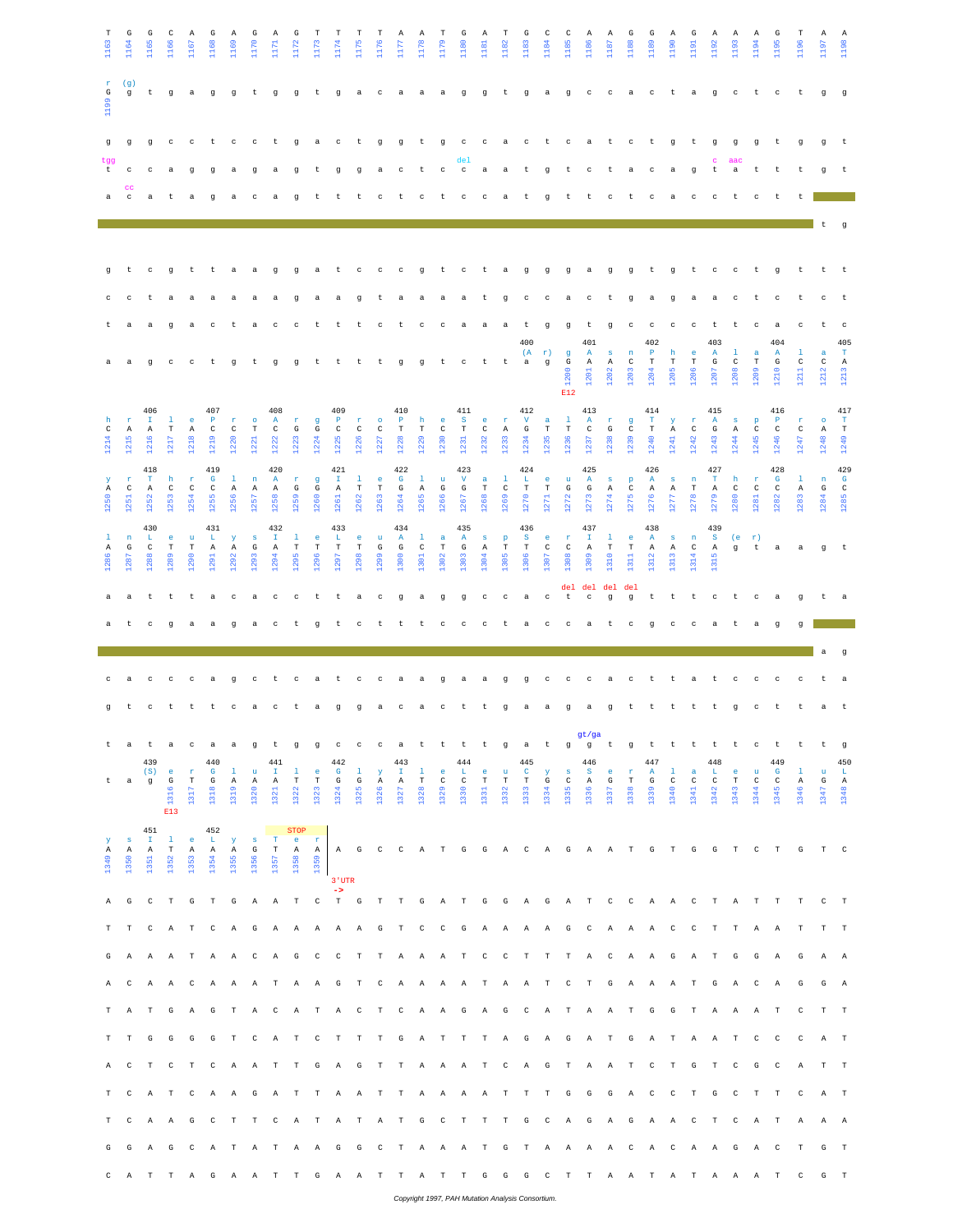| T<br>1163                 | G<br>1164                            | G<br>1165                                   | C<br>1166                                       | Α<br>1167                           | G<br>1168                                   | A<br>1169                 | G<br>1170                            | Α<br>1171                        | G<br>1172                                            | Т<br>1173                           | Т<br>1174                                  | T<br>1175                    | Т<br>1176                  | Α<br>1177                                    | A<br>1178                            | Т<br>1179                                             | G<br>1180                        | Α<br>1181                          | T<br>1182                         | G<br>1183                                          | 1184 Q                                                  | C<br>1185                        | A<br>1186                                                              | $\mathbb{A}$<br>1187                                 | G<br>1188                                                      | G<br>1189                            | A<br>1190                 | G<br>1191                                               | A<br>1192                                 | A<br>1193                                 | A<br>1194                                                      | G<br>1195                              | т<br>1196                 | Α<br>1197                       | $\mathbf{A}$<br>1198                  |
|---------------------------|--------------------------------------|---------------------------------------------|-------------------------------------------------|-------------------------------------|---------------------------------------------|---------------------------|--------------------------------------|----------------------------------|------------------------------------------------------|-------------------------------------|--------------------------------------------|------------------------------|----------------------------|----------------------------------------------|--------------------------------------|-------------------------------------------------------|----------------------------------|------------------------------------|-----------------------------------|----------------------------------------------------|---------------------------------------------------------|----------------------------------|------------------------------------------------------------------------|------------------------------------------------------|----------------------------------------------------------------|--------------------------------------|---------------------------|---------------------------------------------------------|-------------------------------------------|-------------------------------------------|----------------------------------------------------------------|----------------------------------------|---------------------------|---------------------------------|---------------------------------------|
| r<br>$\mathbb{G}$<br>1199 | (g)<br>$\mathbf g$                   | $\sf t$                                     | $\mathbf g$                                     | a                                   | g                                           | g                         | t                                    | $\mathbf g$                      | g                                                    | t                                   | g                                          | a                            | $_{\rm c}$                 | a                                            | a                                    | $^{\rm a}$                                            | g                                | $\mathfrak g$                      | t                                 | g                                                  | a                                                       | $\mathfrak g$                    | $_{\rm c}$                                                             | $_{\rm c}$                                           | a                                                              | c                                    | t                         | a                                                       | $\mathbf g$                               | $_{\rm c}$                                | t                                                              | $_{\rm c}$                             | t                         | g                               | $\,$ g                                |
| g                         | g                                    | g                                           | $\mathbf C$                                     | $\rm ^c$                            | t                                           | c                         | $_{\rm c}$                           |                                  | g                                                    | a                                   |                                            |                              | g                          | $\mathbf g$                                  | t                                    | g                                                     | $_{\rm c}$                       | $_{\rm c}$                         | a                                 | c                                                  | t                                                       | c                                |                                                                        |                                                      |                                                                |                                      | g                         | t                                                       | g                                         | $\mathbf g$                               | g                                                              | t                                      | g                         | g                               |                                       |
| tgg<br>$\mathsf{t}$       | $_{\rm c}$                           | c                                           | $^{\rm a}$                                      | g                                   | $\mathfrak g$                               | a                         | 9                                    |                                  | 9                                                    |                                     | g                                          | g                            | a                          | $\mathtt{c}$                                 | t                                    | $_{\rm c}$                                            | de <sub>1</sub><br>$_{\rm c}$    | a                                  | a                                 | t                                                  | g                                                       |                                  |                                                                        |                                                      | a                                                              | c                                    | a                         | g                                                       | $\mathbf c$<br>$\mathsf{t}$               | aac<br>$\rm{a}$                           | t                                                              | t                                      | t                         | g                               | t                                     |
| a                         | $_{\rm c}$                           | a                                           | t                                               | $\mathbf{a}$                        | g                                           | a                         | C                                    | a                                | q                                                    | t                                   |                                            | t                            | $_{\rm c}$                 | t                                            | $_{\rm c}$                           | t                                                     | $_{\rm c}$                       | $_{\rm c}$                         | $\mathbf{a}$                      | t                                                  | g                                                       | t                                | t                                                                      | c                                                    | τ                                                              | c                                    | a                         | C                                                       | C                                         | τ                                         | C                                                              | t                                      | t.                        |                                 |                                       |
|                           |                                      |                                             |                                                 |                                     |                                             |                           |                                      |                                  |                                                      |                                     |                                            |                              |                            |                                              |                                      |                                                       |                                  |                                    |                                   |                                                    |                                                         |                                  |                                                                        |                                                      |                                                                |                                      |                           |                                                         |                                           |                                           |                                                                |                                        |                           |                                 | $\mathbf{g}$                          |
|                           |                                      |                                             |                                                 |                                     |                                             |                           |                                      |                                  |                                                      |                                     |                                            |                              |                            |                                              |                                      |                                                       |                                  |                                    |                                   |                                                    |                                                         |                                  |                                                                        |                                                      |                                                                |                                      |                           |                                                         |                                           |                                           |                                                                |                                        |                           |                                 |                                       |
|                           | t                                    | c                                           | g                                               | t                                   | t                                           | a                         | a                                    | g                                | g                                                    | $\mathbf a$                         |                                            | $_{\rm c}$                   | c                          | c                                            | $\mathbf g$                          | t                                                     | c                                | t                                  | a                                 | $\mathbf g$                                        | g                                                       | g                                | a                                                                      | g                                                    | g                                                              |                                      | g                         | t                                                       | c                                         | c                                         | t                                                              | g                                      | t                         | t                               | $\,$ t                                |
|                           | c                                    | τ                                           | a                                               | a                                   | a                                           | a                         | a                                    | a                                | g                                                    | a                                   | a                                          | 9                            | τ                          | a                                            | a                                    | a                                                     | a                                | τ                                  | g                                 | c                                                  | $\rm ^c$                                                | a                                | C                                                                      | t                                                    | g                                                              | a                                    | g                         | a                                                       | a                                         | c                                         | τ                                                              | $\mathbf{C}$                           | t                         | c                               | t                                     |
|                           | a                                    | a                                           | g                                               | a                                   | $\rm ^c$                                    | t                         | a                                    | c                                | $\mathbf C$                                          |                                     | t                                          | t                            | $_{\rm c}$                 | t                                            | $\rm ^c$                             | $_{\rm c}$                                            | a                                | $\mathbf a$                        | a                                 | t<br>400                                           | g                                                       | g                                | t<br>401                                                               | g                                                    | $\rm ^c$                                                       | C<br>402                             | c                         | $_{\rm c}$                                              | t<br>403                                  | t                                         | c                                                              | a<br>404                               | $\mathbf{C}$              |                                 | C<br>405                              |
|                           | a                                    | $\mathbf g$                                 | $_{\rm c}$                                      | $\rm ^c$                            | t                                           | g                         | t                                    | $\mathbf g$                      | g                                                    | t                                   |                                            |                              | t                          | $\mathbf g$                                  | $\mathbf g$                          | t                                                     | $_{\rm c}$                       | t                                  | t                                 | (A)<br>$\rm{a}$                                    | r)<br>$\mathbf g$                                       | $1200$ a a<br>E12                | $\, {\bf A}$<br>1201 P                                                 | $_{\rm A}^{\rm S}$<br>1202                           | $\mathbf n$<br>1203 <sub>0</sub>                               | $\, {\bf P}$<br>$_{\rm T}$<br>1204   | h<br>$_{\rm T}$<br>1205   | $\mathsf{e}% _{t}\left( t\right)$<br>$_{\rm T}$<br>1206 | Α<br>$\mathbf G$<br>1207                  | $\,1$<br>$\rm{C}$<br>1208                 | $\mathbf a$<br>$\footnotesize\ensuremath{\mathcal{T}}$<br>1209 | Α<br>$\mathbb{G}$<br>1210              | 1<br>$\mathtt{C}$<br>1211 | $\mathbf a$<br>$\rm{C}$<br>1212 | $\mathbf T$<br>Α<br>$1213$            |
| h                         | $\mathbf r$                          | 406<br>$\mathbbm{1}$                        | 1                                               | $\mathsf{e}$                        | 407<br>$\, {\bf p}$                         | $\mathbf r$               | $_\mathrm{T}^\mathrm{o}$             | 408<br>$_{\rm C}^{\rm A}$        | $\mathbf r$                                          | $\frac{\mathsf{d}}{\mathsf{d}}$     | 409<br>$\, {\bf P}$                        | $\mathbf r$                  | $_{\rm c}^{\circ}$         | 410<br>$\bar{\text{P}}$                      | h                                    | $_{\rm c}^{\rm e}$                                    | 411<br>$\mathbf S$               | $\mathsf{e}% _{t}\left( t\right)$  | $\mathbf r$                       | 412<br>$\mathbf{V}$                                | $\mathbf a$                                             | $\mathbf{1}$                     | 413<br>$_{\rm C}^{\rm A}$                                              | $_{\rm G}^{\rm r}$                                   | $_{\rm c}^{\rm g}$                                             | 414<br>$\mathbf T$                   | $\, {\bf y}$              | $\mathbf r$                                             | 415<br>$\, {\bf A}$                       | $\,$ s                                    | $_{\rm C}^{\rm p}$                                             | 416<br>$\, {\bf P}$                    | $\mathbf r$               | $\circ$                         | $\frac{417}{T}$                       |
| $\mathtt{C}$<br>1214      | $\mathbb A$<br>1215                  | $\, {\bf A}$<br>1216                        | $_{\rm T}$<br>1217                              | Α<br>1218                           | $\rm{C}$<br>1219                            | $\mathtt{C}$<br>1220      | 1221                                 | 1222                             | $\mathbb{G}$<br>1223                                 | 1224                                | $\rm{C}$<br>1225                           | $\mathtt{C}$<br>1226         | 1227                       | $_{\rm T}$<br>1228                           | $_{\rm T}$<br>1229                   | 1230                                                  | $_{\rm T}$<br>1231               | $\rm _C$<br>1232                   | $\, {\bf A}$<br>1233              | $\mathbf G$<br>1234                                | $_{\rm T}$<br>1235                                      | $_{\rm T}$<br>1236               | 1237                                                                   | 1238                                                 | 1239                                                           | $_{\rm T}$<br>1240                   | Α<br>1241                 | $\mathtt{C}$<br>1242                                    | $\mathbb{G}% _{n}^{X}$<br>1243            | $\mathtt{A}$<br>1244                      | 1245                                                           | $_{\rm C}$<br>1246                     | $\rm{C}$<br>1247          | Α<br>1248                       | $_{\rm T}$<br>1249                    |
| У<br>Α<br>1250            | $\mathbf{r}$<br>$\mathtt{C}$<br>1251 | 418<br>$\mathbf T$<br>Α<br>1252             | h<br>$\mathtt{C}$<br>1253                       | $\mathbf r$<br>$\mathtt{C}$<br>1254 | 419<br>$_{\rm c}^{\rm G}$<br>1255           | $\mathbf{1}$<br>Α<br>1256 | $\mathbf n$<br>$\, {\bf A}$<br>1257  | 420<br>$\,$ A<br>$\,$ A<br>1258  | $_{\rm G}^{\rm r}$<br>1259                           | $\mathbf g$<br>$\mathbb{G}$<br>1260 | 421<br>$\mathbf I$<br>$\, {\bf A}$<br>1261 | $\frac{1}{\text{T}}$<br>1262 | $_{\rm T}^{\rm e}$<br>1263 | 422<br>${\mathsf G}$<br>$\mathbb{G}$<br>1264 | $\mathbf{I}$<br>$\mathtt{A}$<br>1265 | $_{\rm G}^{\rm u}$<br>1266                            | 423<br>$\mathbf{v}$<br>G<br>1267 | $\mathbf a$<br>$\mathbb T$<br>1268 | $_{\rm c}^{\rm 1}$<br>1269        | 424<br>$\mathbf{L}$<br>$_{\rm T}$<br>1270          | $\mathsf{e}% _{t}\left( t\right)$<br>$_{\rm T}$<br>1271 | $_{\rm G}^{\rm u}$<br>1272       | 425<br>$\begin{array}{c} \mathtt{A} \\ \mathtt{G} \end{array}$<br>1273 | $\,$ s<br>$\, {\bf A}$<br>1274                       | $_{\rm c}^{\rm p}$<br>1275                                     | 426<br>$\,$ A<br>Α<br>1276           | $\mathbf{s}$<br>Α<br>1277 | $\mathbf n$<br>$_{\rm T}$<br>1278                       | 427<br>$_{\rm T}$<br>$\, {\bf A}$<br>1279 | $\frac{\hbar}{\hbar}$<br>$\rm _C$<br>1280 | $_{\rm c}^{\rm r}$<br>1281                                     | 428<br>$\mathbf G$<br>$\rm _C$<br>1282 | 1<br>Α<br>1283            | $\mathbf n$<br>G<br>1284        | 429<br>$\mathbf{G}$<br>$\,$ C<br>1285 |
| 1                         | $\mathbf n$                          | 430<br>L                                    | e                                               | $\mathbf u$                         | 431<br>$\mathbf{L}$                         | $\mathbf{Y}$              |                                      | 432                              |                                                      |                                     | 433                                        | $\bullet$                    | $\mathbf u$                | 434                                          | $\mathbf 1$                          | $\mathbf{a}$                                          | 435<br>$\, {\bf A}$              | $\,$ s                             | $\, {\bf p}$                      | 436                                                | $\epsilon$                                              |                                  | 437<br>$\mathbf{I}$                                                    |                                                      |                                                                | 438<br>$\, {\bf A}$                  | $\mathbf{s}$              | $\mathbf n$                                             | 439<br>$\,$ s                             | (e                                        | r)                                                             |                                        |                           |                                 |                                       |
| Α<br>1286                 | $\mathbb{G}$<br>1287                 | $\mathtt{C}$<br>1288                        | $_{\rm T}$<br>1289                              | $_{\rm T}$<br>1290                  | $\mathtt{A}$<br>1291                        | $\, {\tt A}$<br>1292      | $\frac{s}{G}$<br>1293                | $1294 \geq \text{H}$             | $\frac{1}{\text{T}}$<br>1295                         | $_{\rm T}^{\rm e}$<br>1296          | $^{\rm L}_{\rm T}$<br>1297                 | $_{\rm T}$<br>1298           | $\mathbb{G}$<br>1299       | $\frac{\texttt{A}}{\texttt{G}}$<br>1300      | $\mathtt{C}$<br>1301                 | $_{\rm T}$<br>1302                                    | $\mathbf G$<br>1303              | $\,$ A<br>1304                     | $_{\rm T}$<br>1305                | $_{\textrm{\tiny{T}}}^{\textrm{\tiny{S}}}$<br>1306 | $\mathtt{C}$<br>1307                                    | $\frac{r}{c}$<br>1308            | $\mathtt{A}$<br>1309                                                   | $\frac{1}{\text{T}}$<br>1310                         | $_{\rm T}^{\rm e}$<br>1311                                     | $\mathtt{A}$<br>1312                 | $\, {\bf A}$<br>1313      | $\mathtt{C}$<br>1314                                    | $\, {\bf A}$<br>1315                      | $\mathbf g$                               | $\sf t$                                                        | $\rm{a}$                               | $\mathbf a$               | g                               | t                                     |
|                           | a                                    | t                                           | t                                               | t                                   | a                                           | c                         | a                                    | C                                | c                                                    |                                     |                                            | a                            | c                          | g                                            | a                                    | g                                                     | g                                | c                                  | c                                 | a                                                  | c                                                       | de <sub>1</sub><br>$\mathsf t$   | del del<br>$\mathtt{C}$                                                | $\mathsf g$                                          | de <sub>1</sub><br>$\mathbf g$                                 | t                                    | t                         | t                                                       | c                                         | t                                         | c                                                              | a                                      |                           |                                 |                                       |
|                           |                                      |                                             |                                                 |                                     |                                             |                           |                                      |                                  |                                                      |                                     |                                            |                              |                            |                                              |                                      |                                                       |                                  |                                    |                                   |                                                    |                                                         |                                  |                                                                        |                                                      |                                                                |                                      |                           |                                                         |                                           |                                           |                                                                |                                        |                           |                                 |                                       |
|                           |                                      | c                                           | q                                               | a                                   | a                                           | q                         | a                                    |                                  |                                                      |                                     |                                            | C                            | τ                          | t                                            | t                                    | $\mathbf C$                                           | $\mathbf C$                      | c                                  | τ                                 | a                                                  | c                                                       | C                                | a                                                                      |                                                      | c                                                              | q                                    | C                         | C                                                       | a                                         |                                           | a                                                              | q                                      |                           |                                 |                                       |
|                           |                                      |                                             |                                                 |                                     |                                             |                           |                                      |                                  |                                                      |                                     |                                            |                              |                            |                                              |                                      |                                                       |                                  |                                    |                                   |                                                    |                                                         |                                  |                                                                        |                                                      |                                                                |                                      |                           |                                                         |                                           |                                           |                                                                |                                        |                           |                                 | $\mathbf g$                           |
|                           |                                      | c                                           | c                                               | c                                   | a                                           | g                         | C                                    |                                  |                                                      |                                     |                                            | c                            | c                          | a                                            | a                                    | g                                                     | a                                | a                                  | g                                 | g                                                  | c                                                       | $_{\rm c}$                       | C                                                                      | a                                                    |                                                                |                                      |                           |                                                         | t                                         | c                                         | c                                                              | C                                      | c                         |                                 |                                       |
|                           |                                      |                                             |                                                 |                                     |                                             |                           |                                      |                                  |                                                      |                                     |                                            |                              |                            |                                              |                                      |                                                       |                                  |                                    |                                   |                                                    |                                                         |                                  |                                                                        |                                                      |                                                                |                                      |                           |                                                         |                                           |                                           |                                                                |                                        |                           |                                 |                                       |
| t                         | a                                    | t<br>439                                    | $\mathbf a$                                     | $_{\rm c}$<br>$\mathbf r$           | a<br>440                                    | a<br>$\mathbf{1}$         | $\mathbf g$                          | t<br>441<br>$\mathbbm{1}$        | g                                                    | g                                   | $_{\rm c}$<br>442                          | $_{\rm c}$<br>1              | $_{\rm c}$                 | a<br>443<br>$\mathbb T$                      | t<br>1                               | t                                                     | t<br>444<br>L                    | t                                  | g                                 | a<br>445                                           | t                                                       | $_{\rm g}$                       | gt/ga<br>q<br>446                                                      | t                                                    | $_{\rm g}$                                                     | t<br>447                             | t<br>1                    |                                                         | t<br>448                                  | t                                         | c                                                              | t<br>449                               | t<br>1                    | t<br>$\mathbf{u}$               | $\mathbf g$<br>450                    |
| t                         | a                                    | (S)<br>g                                    | $\epsilon$<br>$\mathbf{G}% _{0}$<br>1316<br>E13 | $_{\rm T}$<br>1317                  | $\mathbf G$<br>$\mathbf G$<br>1318          | $\, {\bf A}$<br>1319      | $\mathbf u$<br>$\, {\bf A}$<br>1320  | $\, {\bf A}$<br>1321             | $\,$ $\,$<br>$_{\rm T}$<br>1322                      | e<br>$_{\rm T}$<br>1323             | $\mathbf G$<br>$\mathbf G$<br>1324         | $\mathbf G$<br>1325          | У<br>Α<br>1326             | $\, {\bf A}$<br>1327                         | $_{\rm T}$<br>1328                   | $\mathsf{e}% _{t}\left( t\right)$<br>$\rm{C}$<br>1329 | $\mathtt{C}$<br>1330             | $\mathbf e$<br>$_{\rm T}$<br>1331  | $\mathbf u$<br>$_{\rm T}$<br>1332 | $\mathbf{C}$<br>$_{\rm T}$<br>1333                 | $\mathbf{y}$<br>$\mathbb{G}$<br>1334                    | $\mathbf{s}$<br>$\rm{C}$<br>1335 | $\mathbf S$<br>$\mathtt{A}$<br>1336                                    | $\bullet$<br>$\mathbf G$<br>1337                     | $\mathbf r$<br>$\footnotesize\ensuremath{\mathcal{T}}$<br>1338 | $\, {\bf A}$<br>$\mathbb{G}$<br>1339 | $\mathtt{C}$<br>1340      | $\mathbf a$<br>$\rm{C}$<br>1341                         | L<br>$\rm _C$<br>1342                     | e<br>$_{\rm T}$<br>1343                   | $\mathbf u$<br>$\mathtt{C}$<br>1344                            | ${\mathbb G}$<br>$_{\rm C}$<br>1345    | $\mathtt{A}$<br>1346      | $\mathbb{G}$<br>1347            | L<br>$\,$ A<br>1348                   |
| У<br>Α<br>1349            | $\mathbf{s}$<br>$\mathbb A$<br>1350  | 451<br>$\mathbf{T}$<br>$\, {\bf A}$<br>1351 | 1<br>$_{\rm T}$<br>1352                         | e<br>Α<br>1353                      | 452<br>$\mathbf{L}$<br>$\, {\bf A}$<br>1354 | $\mathbf{y}$<br>Α<br>1355 | $\mathbf{s}$<br>$\mathbb{G}$<br>1356 | $_{\rm T}$<br>$_{\rm T}$<br>1357 | <b>STOP</b><br>$\mathbf{e}$<br>$\mathbbm{A}$<br>1358 | $\mathbf r$<br>Α<br>1359            | A G                                        |                              | $\mathbb{C}$               | $\mathtt{C}$                                 | Α                                    | $\mathbb T$                                           | G                                | G                                  | A                                 | C                                                  | Α                                                       | G                                |                                                                        | $\begin{tabular}{cccccc} A & A & T \\ \end{tabular}$ |                                                                | G                                    | T                         | G                                                       | G                                         | $\mathbf T$                               | $\mathtt{C}$                                                   | T                                      | G                         | T                               | $\mathbb{C}$                          |
| Α                         | G                                    | C                                           | $_{\rm T}$                                      | G                                   | $_{\rm T}$                                  | G                         | Α                                    | Α                                | $_{\rm T}$                                           | $\mathtt{C}$                        | $3'$ UTR<br>$\rightarrow$<br>$\mathbf T$   | $\mathbf{G}$                 | $\mathbf T$                | $\,$ T                                       | $\mathbb{G}$                         | Α                                                     | $_{\rm T}$                       | $\mathbb{G}$                       | G                                 | Α                                                  | G                                                       | Α                                | $_{\rm T}$                                                             | C                                                    | $\rm _C$                                                       | Α                                    | Α                         | $\mathtt{C}$                                            | $_{\rm T}$                                | $\mathbf{A}$                              | T                                                              |                                        |                           | Ċ                               |                                       |
| т                         | T                                    | $\rm _C$                                    | Α                                               | $_{\rm T}$                          | C                                           | Α                         | $\mathbb{G}$                         | Α                                | A                                                    | A                                   | A                                          | $\mathbb{A}$                 | G                          | $_{\rm T}$                                   | $\mathtt{C}$                         | $\,c\,$                                               | G                                | Α                                  | Α                                 | Α                                                  | Α                                                       | ${\rm G}$                        | C                                                                      | Α                                                    | Α                                                              | Α                                    | C                         | $\mathtt{C}$                                            | $_{\rm T}$                                | $\mathbf T$                               | $\mathbb{A}$                                                   | $\mathbf{A}$                           | T                         | T                               | T                                     |
| G                         | A                                    | $\Delta$                                    | $\mathbb{A}$                                    | т                                   | $\mathbb{A}$                                | $\mathbb{A}$              | $\mathbb{C}$                         | $\mathbb{A}$                     | ${\rm G}$                                            | $\,$ C                              | $\,$ C                                     | $\mathbf T$                  | $\mathbf T$                | $\mathbb{A}$                                 | A                                    | A                                                     | $_{\rm T}$                       | $\mathtt{C}$                       | $\mathtt{C}$                      | $_{\rm T}$                                         | $_{\rm T}$                                              | $\mathbf T$                      | Α                                                                      | $\mathbf C$                                          | Α                                                              | A                                    | G                         | $\mathbb{A}$                                            | $_{\rm T}$                                | G                                         | G                                                              | A                                      | G                         | Α                               | A                                     |
| Α                         | C                                    | $\mathbb{A}$                                | $\mathbb{A}$                                    | $\rm _C$                            | $\, {\bf A}$                                | $\,$ A                    | $\mathbb{A}$                         | $_{\rm T}$                       | $\,$ A                                               | $\mathbb{A}$                        | G                                          | $\mathbf T$                  | $\mathtt{C}$               | Α                                            | $\mathbb{A}$                         | A                                                     | $\,$ A                           | $_{\rm T}$                         | Α                                 | Α                                                  | $_{\rm T}$                                              | $\mathtt{C}$                     | $_{\rm T}$                                                             | G                                                    | Α                                                              | Α                                    | Α                         | $_{\rm T}$                                              | G                                         | $\,$ A                                    | $\,$ C                                                         | A                                      | G                         | G                               | $\mathbf{A}$                          |
| т                         | $\mathbb{A}$                         | $_{\rm T}$                                  | G                                               | Α                                   | G                                           | $\, {\rm T}$              | $\mathbb{A}$                         | $\mathtt{C}$                     | $\,$ A                                               | $_{\rm T}$                          | $\mathbb{A}$                               | $\mathbf C$                  | $_{\rm T}$                 | $\,$ C                                       | A                                    | A                                                     | G                                | $\,$ A                             | G                                 | C                                                  | Α                                                       | $_{\rm T}$                       | Α                                                                      | Α                                                    | $_{\rm T}$                                                     | $\mathbb{G}$                         | G                         | $_{\rm T}$                                              | Α                                         | Α                                         | $\mathbb{A}$                                                   | $_{\rm T}$                             | C                         | T                               | T                                     |
| т                         | T                                    | G                                           | G                                               | G                                   | G                                           | $\mathbf T$               | $\mathbf{C}$                         | $\mathbb{A}$                     | T                                                    | $\mathbb{C}$                        | $_{\rm T}$                                 | $\mathbf T$                  | $_{\rm T}$                 | G                                            | A                                    | $\mathbb T$                                           | $_{\rm T}$                       | $_{\rm T}$                         | $\mathbb{A}$                      | G                                                  | Α                                                       | G                                | Α                                                                      | $_{\rm T}$                                           | G                                                              | A                                    | $_{\rm T}$                | $\,$ A                                                  | Α                                         | $\, {\rm T}$                              | C                                                              | $\,$ C                                 | $\rm{C}$                  | Α                               | T                                     |
|                           | C                                    | $_{\rm T}$                                  | $\rm{C}$                                        | $_{\rm T}$                          | $\mathtt{C}$                                | Α                         | Α                                    | $_{\rm T}$                       | $_{\rm T}$                                           | G                                   | A                                          | $_{\rm G}$                   | $_{\rm T}$                 | $_{\rm T}$                                   | $\;$ A                               | A                                                     | A                                | $_{\rm T}$                         | $_{\rm C}$                        | Α                                                  | $\mathbb{G}$                                            | $_{\rm T}$                       | Α                                                                      | Α                                                    | $_{\rm T}$                                                     | $\mathtt{C}$                         | $_{\rm T}$                | G                                                       | $_{\rm T}$                                | $\mathtt{C}$                              | $\mathbb{G}$                                                   | $\mathtt{C}$                           | Α                         | $_{\rm T}$                      | $\mathbf T$                           |
| т                         | C                                    | Α                                           | $_{\rm T}$                                      | C                                   | Α                                           | $\,$ A                    | G                                    | $\mathbb{A}$                     | $_{\rm T}$                                           | $_{\rm T}$                          | A                                          | A                            | $_{\rm T}$                 | $_{\rm T}$                                   | $\mathbb{A}$                         | A                                                     | $\mathbb{A}$                     | $\mathbb{A}$                       | $_{\rm T}$                        | $_{\rm T}$                                         | $_{\rm T}$                                              | G                                | G                                                                      | G                                                    | Α                                                              | $\mathtt{C}$                         | $\mathtt{C}$              | $_{\rm T}$                                              | ${\rm G}$                                 | $\mathtt{C}$                              | $_{\rm T}$                                                     | $_{\rm T}$                             | $\rm{C}$                  | $\mathbb{A}$                    | $\mathbf T$                           |
|                           | Ć                                    | Α                                           | Α                                               | G                                   | C                                           | $_{\rm T}$                | $_{\rm T}$                           | C                                | Α                                                    | $_{\rm T}$                          | $\mathbb{A}$                               | $_{\rm T}$                   | Α                          | $_{\rm T}$                                   | G                                    | $_{\rm C}$                                            | $_{\rm T}$                       | $_{\rm T}$                         | $_{\rm T}$                        | G                                                  | $\mathtt{C}$                                            | Α                                | G                                                                      | Α                                                    | $\mathbb{G}$                                                   | Α                                    | $\mathbb{A}$              | $\mathtt{C}$                                            | $_{\rm T}$                                | $\rm _C$                                  | Α                                                              | $_{\rm T}$                             | Α                         | Α                               | A                                     |
|                           | G                                    | Α                                           | G                                               | C                                   | Α                                           | $_{\rm T}$                | Α                                    | $\mathbf T$                      | Α                                                    | $\mathbf{A}$                        | ${\rm G}$                                  | G                            | $\mathtt{C}$               | $_{\rm T}$                                   | Α                                    | $\mathbb{A}$                                          | Α                                | $_{\rm T}$                         | G                                 | $_{\rm T}$                                         | Α                                                       | Α                                | Α                                                                      | Α                                                    | C                                                              | Α                                    | $\mathbb{C}$              | Α                                                       | Α                                         | G                                         | Α                                                              | C                                      | T                         | G                               | $\mathbf T$                           |

*Copyright 1997, PAH Mutation Analysis Consortium.*